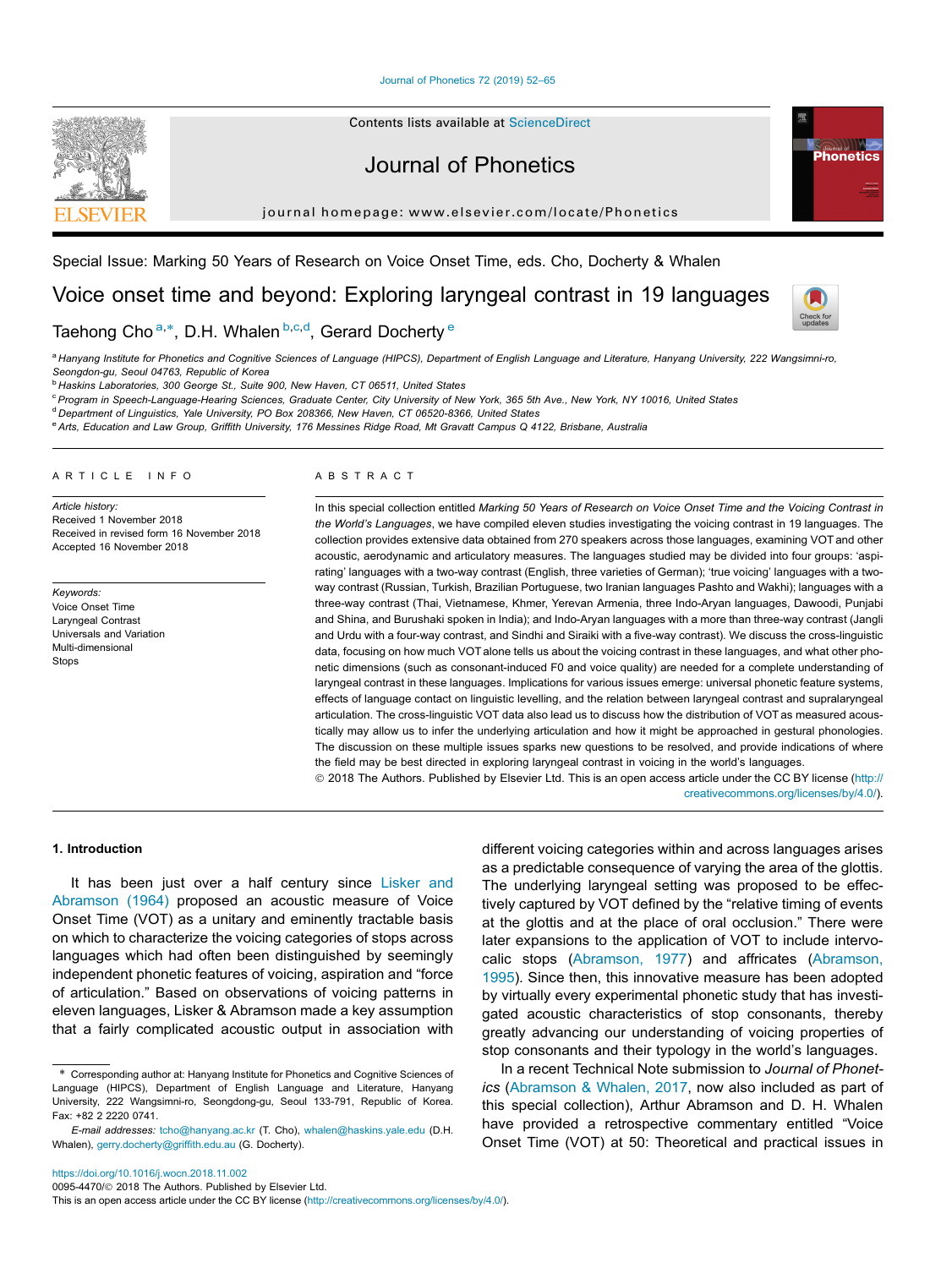[Journal of Phonetics 72 \(2019\) 52](https://doi.org/10.1016/j.wocn.2018.11.002)–65

# Journal of Phonetics

journal homepage: [www.elsevier.com/locate/Phonetics](http://www.elsevier.com/locate/Phonetics)

Special Issue: Marking 50 Years of Research on Voice Onset Time, eds. Cho, Docherty & Whalen

# Voice onset time and beyond: Exploring laryngeal contrast in 19 languages

# Taehong Cho<sup>a,</sup>\*, D.H. Whalen<sup>b,c,d</sup>, Gerard Docherty <sup>e</sup>

a Hanyang Institute for Phonetics and Cognitive Sciences of Language (HIPCS), Department of English Language and Literature, Hanyang University, 222 Wangsimni-ro, Seongdon-gu, Seoul 04763, Republic of Korea

<sup>b</sup> Haskins Laboratories, 300 George St., Suite 900, New Haven, CT 06511, United States

<sup>c</sup> Program in Speech-Language-Hearing Sciences, Graduate Center, City University of New York, 365 5th Ave., New York, NY 10016, United States

<sup>d</sup> Department of Linguistics, Yale University, PO Box 208366, New Haven, CT 06520-8366, United States

<sup>e</sup> Arts, Education and Law Group, Griffith University, 176 Messines Ridge Road, Mt Gravatt Campus Q 4122, Brisbane, Australia

#### article info

Article history: Received 1 November 2018 Received in revised form 16 November 2018 Accepted 16 November 2018

Keywords: Voice Onset Time Laryngeal Contrast Universals and Variation Multi-dimensional Stops

#### abstract

In this special collection entitled Marking 50 Years of Research on Voice Onset Time and the Voicing Contrast in the World's Languages, we have compiled eleven studies investigating the voicing contrast in 19 languages. The collection provides extensive data obtained from 270 speakers across those languages, examining VOT and other acoustic, aerodynamic and articulatory measures. The languages studied may be divided into four groups: 'aspirating' languages with a two-way contrast (English, three varieties of German); 'true voicing' languages with a twoway contrast (Russian, Turkish, Brazilian Portuguese, two Iranian languages Pashto and Wakhi); languages with a three-way contrast (Thai, Vietnamese, Khmer, Yerevan Armenia, three Indo-Aryan languages, Dawoodi, Punjabi and Shina, and Burushaki spoken in India); and Indo-Aryan languages with a more than three-way contrast (Jangli and Urdu with a four-way contrast, and Sindhi and Siraiki with a five-way contrast). We discuss the cross-linguistic data, focusing on how much VOT alone tells us about the voicing contrast in these languages, and what other phonetic dimensions (such as consonant-induced F0 and voice quality) are needed for a complete understanding of laryngeal contrast in these languages. Implications for various issues emerge: universal phonetic feature systems, effects of language contact on linguistic levelling, and the relation between laryngeal contrast and supralaryngeal articulation. The cross-linguistic VOT data also lead us to discuss how the distribution of VOT as measured acoustically may allow us to infer the underlying articulation and how it might be approached in gestural phonologies. The discussion on these multiple issues sparks new questions to be resolved, and provide indications of where the field may be best directed in exploring laryngeal contrast in voicing in the world's languages.

 2018 The Authors. Published by Elsevier Ltd. This is an open access article under the CC BY license [\(http://](http://creativecommons.org/licenses/by/4.0/) [creativecommons.org/licenses/by/4.0/](http://creativecommons.org/licenses/by/4.0/)).

#### 1. Introduction

It has been just over a half century since [Lisker and](#page-13-0) [Abramson \(1964\)](#page-13-0) proposed an acoustic measure of Voice Onset Time (VOT) as a unitary and eminently tractable basis on which to characterize the voicing categories of stops across languages which had often been distinguished by seemingly independent phonetic features of voicing, aspiration and "force of articulation." Based on observations of voicing patterns in eleven languages, Lisker & Abramson made a key assumption that a fairly complicated acoustic output in association with different voicing categories within and across languages arises as a predictable consequence of varying the area of the glottis. The underlying laryngeal setting was proposed to be effectively captured by VOT defined by the "relative timing of events at the glottis and at the place of oral occlusion." There were later expansions to the application of VOT to include intervocalic stops ([Abramson, 1977\)](#page-12-0) and affricates ([Abramson,](#page-12-0) [1995](#page-12-0)). Since then, this innovative measure has been adopted by virtually every experimental phonetic study that has investigated acoustic characteristics of stop consonants, thereby greatly advancing our understanding of voicing properties of stop consonants and their typology in the world's languages.

In a recent Technical Note submission to Journal of Phonetics [\(Abramson & Whalen, 2017](#page-12-0), now also included as part of this special collection), Arthur Abramson and D. H. Whalen have provided a retrospective commentary entitled "Voice Onset Time (VOT) at 50: Theoretical and practical issues in







<sup>\*</sup> Corresponding author at: Hanyang Institute for Phonetics and Cognitive Sciences of Language (HIPCS), Department of English Language and Literature, Hanyang University, 222 Wangsimni-ro, Seongdong-gu, Seoul 133-791, Republic of Korea. Fax: +82 2 2220 0741.

E-mail addresses: [tcho@hanyang.ac.kr](mailto:tcho@hanyang.ac.kr) (T. Cho), [whalen@haskins.yale.edu](mailto:whalen@haskins.yale.edu) (D.H. Whalen), [gerry.docherty@grif](mailto:gerry.docherty@griffith.edu.au)fith.edu.au (G. Docherty).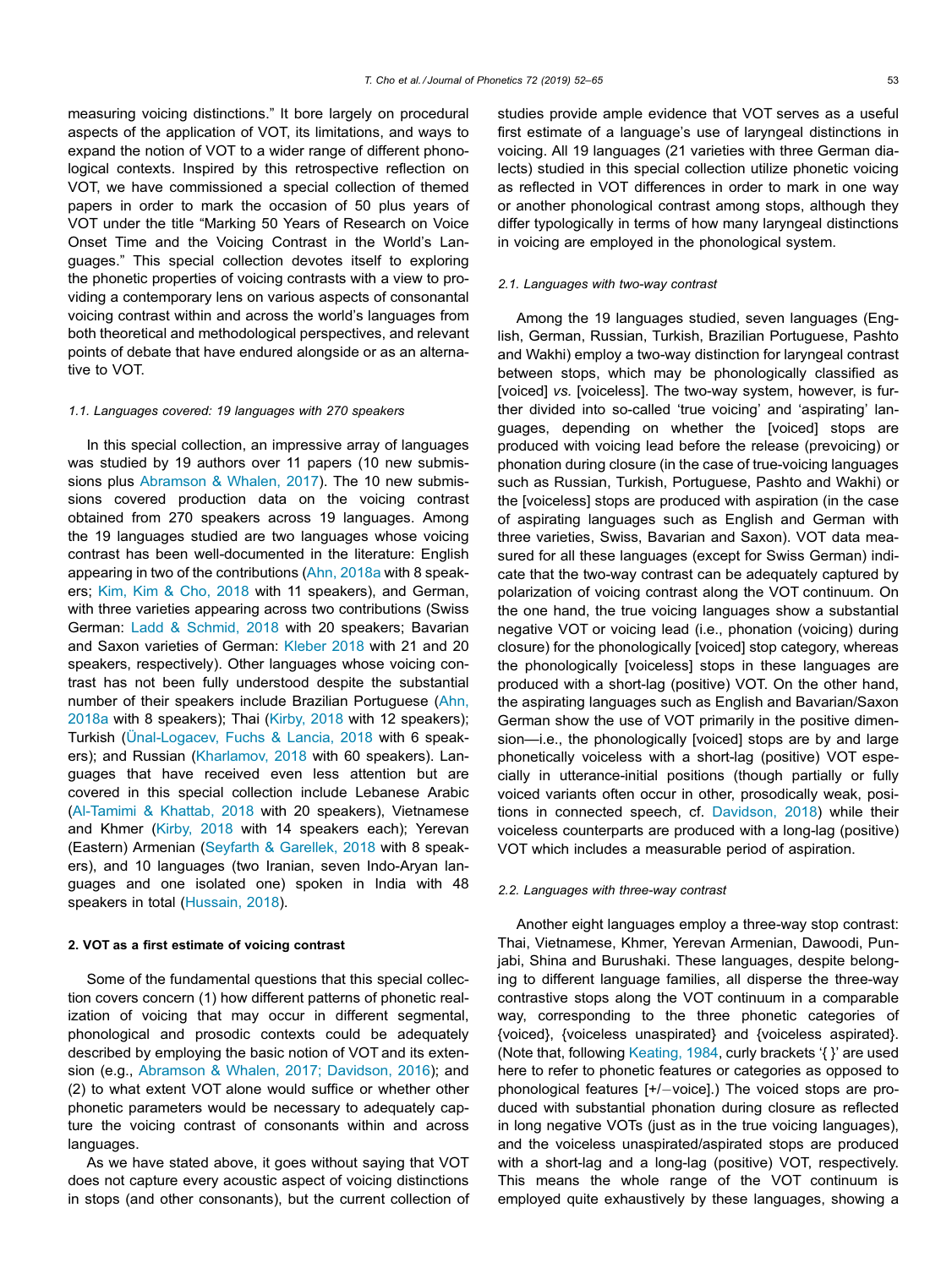<span id="page-1-0"></span>measuring voicing distinctions." It bore largely on procedural aspects of the application of VOT, its limitations, and ways to expand the notion of VOT to a wider range of different phonological contexts. Inspired by this retrospective reflection on VOT, we have commissioned a special collection of themed papers in order to mark the occasion of 50 plus years of VOT under the title "Marking 50 Years of Research on Voice Onset Time and the Voicing Contrast in the World's Languages." This special collection devotes itself to exploring the phonetic properties of voicing contrasts with a view to providing a contemporary lens on various aspects of consonantal voicing contrast within and across the world's languages from both theoretical and methodological perspectives, and relevant points of debate that have endured alongside or as an alternative to VOT.

# 1.1. Languages covered: 19 languages with 270 speakers

In this special collection, an impressive array of languages was studied by 19 authors over 11 papers (10 new submissions plus [Abramson & Whalen, 2017\)](#page-12-0). The 10 new submissions covered production data on the voicing contrast obtained from 270 speakers across 19 languages. Among the 19 languages studied are two languages whose voicing contrast has been well-documented in the literature: English appearing in two of the contributions [\(Ahn, 2018a](#page-12-0) with 8 speakers; [Kim, Kim & Cho, 2018](#page-13-0) with 11 speakers), and German, with three varieties appearing across two contributions (Swiss German: [Ladd & Schmid, 2018](#page-13-0) with 20 speakers; Bavarian and Saxon varieties of German: [Kleber 2018](#page-13-0) with 21 and 20 speakers, respectively). Other languages whose voicing contrast has not been fully understood despite the substantial number of their speakers include Brazilian Portuguese ([Ahn,](#page-12-0) [2018a](#page-12-0) with 8 speakers); Thai ([Kirby, 2018](#page-13-0) with 12 speakers); Turkish ([Ünal-Logacev, Fuchs & Lancia, 2018](#page-13-0) with 6 speakers); and Russian ([Kharlamov, 2018](#page-13-0) with 60 speakers). Languages that have received even less attention but are covered in this special collection include Lebanese Arabic [\(Al-Tamimi & Khattab, 2018](#page-12-0) with 20 speakers), Vietnamese and Khmer ([Kirby, 2018](#page-13-0) with 14 speakers each); Yerevan (Eastern) Armenian [\(Seyfarth & Garellek, 2018](#page-13-0) with 8 speakers), and 10 languages (two Iranian, seven Indo-Aryan languages and one isolated one) spoken in India with 48 speakers in total ([Hussain, 2018\)](#page-13-0).

# 2. VOT as a first estimate of voicing contrast

Some of the fundamental questions that this special collection covers concern (1) how different patterns of phonetic realization of voicing that may occur in different segmental, phonological and prosodic contexts could be adequately described by employing the basic notion of VOT and its extension (e.g., [Abramson & Whalen, 2017; Davidson, 2016](#page-12-0)); and (2) to what extent VOT alone would suffice or whether other phonetic parameters would be necessary to adequately capture the voicing contrast of consonants within and across languages.

As we have stated above, it goes without saying that VOT does not capture every acoustic aspect of voicing distinctions in stops (and other consonants), but the current collection of studies provide ample evidence that VOT serves as a useful first estimate of a language's use of laryngeal distinctions in voicing. All 19 languages (21 varieties with three German dialects) studied in this special collection utilize phonetic voicing as reflected in VOT differences in order to mark in one way or another phonological contrast among stops, although they differ typologically in terms of how many laryngeal distinctions in voicing are employed in the phonological system.

# 2.1. Languages with two-way contrast

Among the 19 languages studied, seven languages (English, German, Russian, Turkish, Brazilian Portuguese, Pashto and Wakhi) employ a two-way distinction for laryngeal contrast between stops, which may be phonologically classified as [voiced] vs. [voiceless]. The two-way system, however, is further divided into so-called 'true voicing' and 'aspirating' languages, depending on whether the [voiced] stops are produced with voicing lead before the release (prevoicing) or phonation during closure (in the case of true-voicing languages such as Russian, Turkish, Portuguese, Pashto and Wakhi) or the [voiceless] stops are produced with aspiration (in the case of aspirating languages such as English and German with three varieties, Swiss, Bavarian and Saxon). VOT data measured for all these languages (except for Swiss German) indicate that the two-way contrast can be adequately captured by polarization of voicing contrast along the VOT continuum. On the one hand, the true voicing languages show a substantial negative VOT or voicing lead (i.e., phonation (voicing) during closure) for the phonologically [voiced] stop category, whereas the phonologically [voiceless] stops in these languages are produced with a short-lag (positive) VOT. On the other hand, the aspirating languages such as English and Bavarian/Saxon German show the use of VOT primarily in the positive dimension—i.e., the phonologically [voiced] stops are by and large phonetically voiceless with a short-lag (positive) VOT especially in utterance-initial positions (though partially or fully voiced variants often occur in other, prosodically weak, positions in connected speech, cf. [Davidson, 2018\)](#page-12-0) while their voiceless counterparts are produced with a long-lag (positive) VOT which includes a measurable period of aspiration.

# 2.2. Languages with three-way contrast

Another eight languages employ a three-way stop contrast: Thai, Vietnamese, Khmer, Yerevan Armenian, Dawoodi, Punjabi, Shina and Burushaki. These languages, despite belonging to different language families, all disperse the three-way contrastive stops along the VOT continuum in a comparable way, corresponding to the three phonetic categories of {voiced}, {voiceless unaspirated} and {voiceless aspirated}. (Note that, following [Keating, 1984,](#page-13-0) curly brackets '{ }' are used here to refer to phonetic features or categories as opposed to phonological features  $[+/-$ voice].) The voiced stops are produced with substantial phonation during closure as reflected in long negative VOTs (just as in the true voicing languages), and the voiceless unaspirated/aspirated stops are produced with a short-lag and a long-lag (positive) VOT, respectively. This means the whole range of the VOT continuum is employed quite exhaustively by these languages, showing a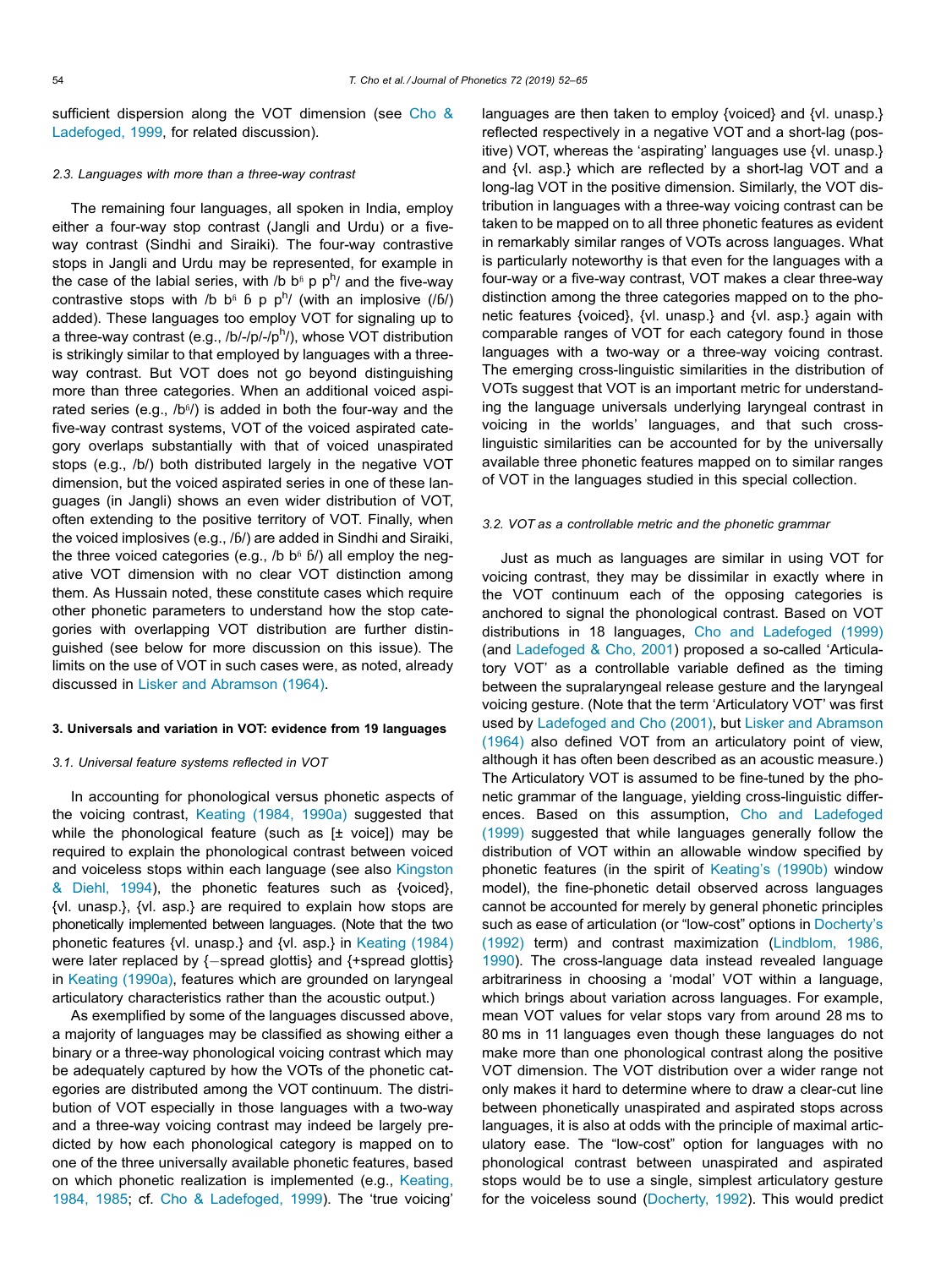sufficient dispersion along the VOT dimension (see [Cho &](#page-12-0) [Ladefoged, 1999,](#page-12-0) for related discussion).

#### 2.3. Languages with more than a three-way contrast

The remaining four languages, all spoken in India, employ either a four-way stop contrast (Jangli and Urdu) or a fiveway contrast (Sindhi and Siraiki). The four-way contrastive stops in Jangli and Urdu may be represented, for example in the case of the labial series, with /b b<u>fi</u> p p<sup>h</sup>/ and the five-way contrastive stops with /b b<sup>*i*</sup> b p p<sup>h</sup>/ (with an implosive (/b/) added). These languages too employ VOT for signaling up to a three-way contrast (e.g., /b/-/p/-/p<sup>h</sup>/), whose VOT distribution is strikingly similar to that employed by languages with a threeway contrast. But VOT does not go beyond distinguishing more than three categories. When an additional voiced aspirated series (e.g., /b $^{6/}$ ) is added in both the four-way and the five-way contrast systems, VOT of the voiced aspirated category overlaps substantially with that of voiced unaspirated stops (e.g., /b/) both distributed largely in the negative VOT dimension, but the voiced aspirated series in one of these languages (in Jangli) shows an even wider distribution of VOT, often extending to the positive territory of VOT. Finally, when the voiced implosives (e.g., /ɓ/) are added in Sindhi and Siraiki, the three voiced categories (e.g., /b b<sup>i</sup> b/) all employ the negative VOT dimension with no clear VOT distinction among them. As Hussain noted, these constitute cases which require other phonetic parameters to understand how the stop categories with overlapping VOT distribution are further distinguished (see below for more discussion on this issue). The limits on the use of VOT in such cases were, as noted, already discussed in [Lisker and Abramson \(1964\)](#page-13-0).

#### 3. Universals and variation in VOT: evidence from 19 languages

#### 3.1. Universal feature systems reflected in VOT

In accounting for phonological versus phonetic aspects of the voicing contrast, [Keating \(1984, 1990a\)](#page-13-0) suggested that while the phonological feature (such as  $[\pm$  voice]) may be required to explain the phonological contrast between voiced and voiceless stops within each language (see also [Kingston](#page-13-0) [& Diehl, 1994](#page-13-0)), the phonetic features such as {voiced}, {vl. unasp.}, {vl. asp.} are required to explain how stops are phonetically implemented between languages. (Note that the two phonetic features {vl. unasp.} and {vl. asp.} in [Keating \(1984\)](#page-13-0) were later replaced by  $\{-$ spread glottis} and  $\{+$ spread glottis} in [Keating \(1990a\)](#page-13-0), features which are grounded on laryngeal articulatory characteristics rather than the acoustic output.)

As exemplified by some of the languages discussed above, a majority of languages may be classified as showing either a binary or a three-way phonological voicing contrast which may be adequately captured by how the VOTs of the phonetic categories are distributed among the VOT continuum. The distribution of VOT especially in those languages with a two-way and a three-way voicing contrast may indeed be largely predicted by how each phonological category is mapped on to one of the three universally available phonetic features, based on which phonetic realization is implemented (e.g., [Keating,](#page-13-0) [1984, 1985](#page-13-0); cf. [Cho & Ladefoged, 1999\)](#page-12-0). The 'true voicing' languages are then taken to employ {voiced} and {vl. unasp.} reflected respectively in a negative VOT and a short-lag (positive) VOT, whereas the 'aspirating' languages use {vl. unasp.} and {vl. asp.} which are reflected by a short-lag VOT and a long-lag VOT in the positive dimension. Similarly, the VOT distribution in languages with a three-way voicing contrast can be taken to be mapped on to all three phonetic features as evident in remarkably similar ranges of VOTs across languages. What is particularly noteworthy is that even for the languages with a four-way or a five-way contrast, VOT makes a clear three-way distinction among the three categories mapped on to the phonetic features {voiced}, {vl. unasp.} and {vl. asp.} again with comparable ranges of VOT for each category found in those languages with a two-way or a three-way voicing contrast. The emerging cross-linguistic similarities in the distribution of VOTs suggest that VOT is an important metric for understanding the language universals underlying laryngeal contrast in voicing in the worlds' languages, and that such crosslinguistic similarities can be accounted for by the universally available three phonetic features mapped on to similar ranges of VOT in the languages studied in this special collection.

#### 3.2. VOT as a controllable metric and the phonetic grammar

Just as much as languages are similar in using VOT for voicing contrast, they may be dissimilar in exactly where in the VOT continuum each of the opposing categories is anchored to signal the phonological contrast. Based on VOT distributions in 18 languages, [Cho and Ladefoged \(1999\)](#page-12-0) (and [Ladefoged & Cho, 2001\)](#page-13-0) proposed a so-called 'Articulatory VOT' as a controllable variable defined as the timing between the supralaryngeal release gesture and the laryngeal voicing gesture. (Note that the term 'Articulatory VOT' was first used by [Ladefoged and Cho \(2001\),](#page-13-0) but [Lisker and Abramson](#page-13-0) [\(1964\)](#page-13-0) also defined VOT from an articulatory point of view, although it has often been described as an acoustic measure.) The Articulatory VOT is assumed to be fine-tuned by the phonetic grammar of the language, yielding cross-linguistic differences. Based on this assumption, [Cho and Ladefoged](#page-12-0) [\(1999\)](#page-12-0) suggested that while languages generally follow the distribution of VOT within an allowable window specified by phonetic features (in the spirit of Keating'[s \(1990b\)](#page-13-0) window model), the fine-phonetic detail observed across languages cannot be accounted for merely by general phonetic principles such as ease of articulation (or "low-cost" options in [Docherty](#page-12-0)'s [\(1992\)](#page-12-0) term) and contrast maximization [\(Lindblom, 1986,](#page-13-0) [1990](#page-13-0)). The cross-language data instead revealed language arbitrariness in choosing a 'modal' VOT within a language, which brings about variation across languages. For example, mean VOT values for velar stops vary from around 28 ms to 80 ms in 11 languages even though these languages do not make more than one phonological contrast along the positive VOT dimension. The VOT distribution over a wider range not only makes it hard to determine where to draw a clear-cut line between phonetically unaspirated and aspirated stops across languages, it is also at odds with the principle of maximal articulatory ease. The "low-cost" option for languages with no phonological contrast between unaspirated and aspirated stops would be to use a single, simplest articulatory gesture for the voiceless sound [\(Docherty, 1992\)](#page-12-0). This would predict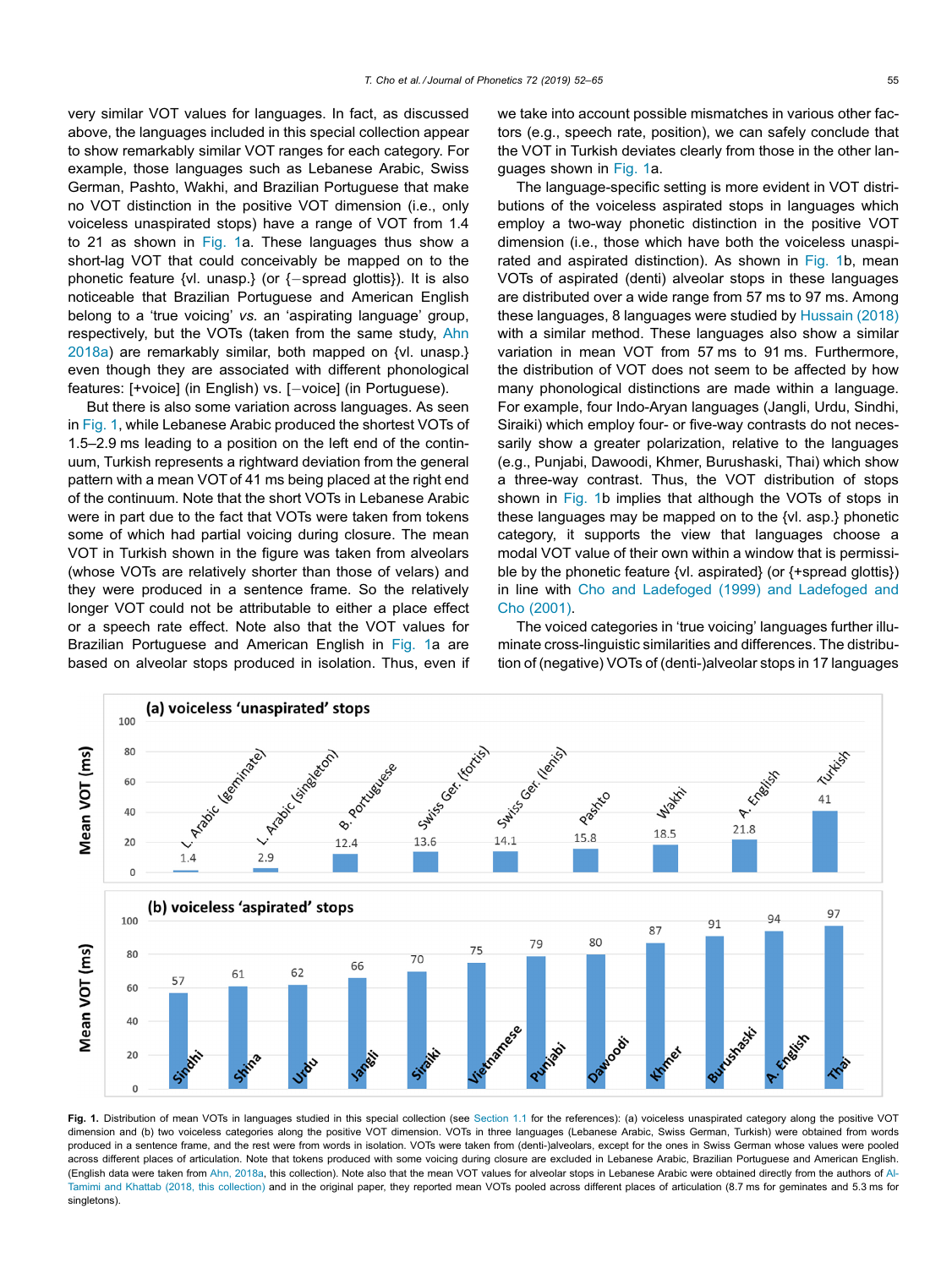very similar VOT values for languages. In fact, as discussed above, the languages included in this special collection appear to show remarkably similar VOT ranges for each category. For example, those languages such as Lebanese Arabic, Swiss German, Pashto, Wakhi, and Brazilian Portuguese that make no VOT distinction in the positive VOT dimension (i.e., only voiceless unaspirated stops) have a range of VOT from 1.4 to 21 as shown in Fig. 1a. These languages thus show a short-lag VOT that could conceivably be mapped on to the phonetic feature  $\{v\}$ . unasp.} (or  $\{-\text{spread qlottis}\}$ ). It is also noticeable that Brazilian Portuguese and American English belong to a 'true voicing' vs. an 'aspirating language' group, respectively, but the VOTs (taken from the same study, [Ahn](#page-12-0) [2018a\)](#page-12-0) are remarkably similar, both mapped on {vl. unasp.} even though they are associated with different phonological features: [+voice] (in English) vs. [-voice] (in Portuguese).

But there is also some variation across languages. As seen in Fig. 1, while Lebanese Arabic produced the shortest VOTs of 1.5–2.9 ms leading to a position on the left end of the continuum, Turkish represents a rightward deviation from the general pattern with a mean VOT of 41 ms being placed at the right end of the continuum. Note that the short VOTs in Lebanese Arabic were in part due to the fact that VOTs were taken from tokens some of which had partial voicing during closure. The mean VOT in Turkish shown in the figure was taken from alveolars (whose VOTs are relatively shorter than those of velars) and they were produced in a sentence frame. So the relatively longer VOT could not be attributable to either a place effect or a speech rate effect. Note also that the VOT values for Brazilian Portuguese and American English in Fig. 1a are based on alveolar stops produced in isolation. Thus, even if we take into account possible mismatches in various other factors (e.g., speech rate, position), we can safely conclude that the VOT in Turkish deviates clearly from those in the other languages shown in Fig. 1a.

The language-specific setting is more evident in VOT distributions of the voiceless aspirated stops in languages which employ a two-way phonetic distinction in the positive VOT dimension (i.e., those which have both the voiceless unaspirated and aspirated distinction). As shown in Fig. 1b, mean VOTs of aspirated (denti) alveolar stops in these languages are distributed over a wide range from 57 ms to 97 ms. Among these languages, 8 languages were studied by [Hussain \(2018\)](#page-13-0) with a similar method. These languages also show a similar variation in mean VOT from 57 ms to 91 ms. Furthermore, the distribution of VOT does not seem to be affected by how many phonological distinctions are made within a language. For example, four Indo-Aryan languages (Jangli, Urdu, Sindhi, Siraiki) which employ four- or five-way contrasts do not necessarily show a greater polarization, relative to the languages (e.g., Punjabi, Dawoodi, Khmer, Burushaski, Thai) which show a three-way contrast. Thus, the VOT distribution of stops shown in Fig. 1b implies that although the VOTs of stops in these languages may be mapped on to the {vl. asp.} phonetic category, it supports the view that languages choose a modal VOT value of their own within a window that is permissible by the phonetic feature {vl. aspirated} (or {+spread glottis}) in line with [Cho and Ladefoged \(1999\) and Ladefoged and](#page-12-0) [Cho \(2001\)](#page-12-0).

The voiced categories in 'true voicing' languages further illuminate cross-linguistic similarities and differences. The distribution of (negative) VOTs of (denti-)alveolar stops in 17 languages



Fig. 1. Distribution of mean VOTs in languages studied in this special collection (see [Section 1.1](#page-1-0) for the references): (a) voiceless unaspirated category along the positive VOT dimension and (b) two voiceless categories along the positive VOT dimension. VOTs in three languages (Lebanese Arabic, Swiss German, Turkish) were obtained from words produced in a sentence frame, and the rest were from words in isolation. VOTs were taken from (denti-)alveolars, except for the ones in Swiss German whose values were pooled across different places of articulation. Note that tokens produced with some voicing during closure are excluded in Lebanese Arabic, Brazilian Portuguese and American English. (English data were taken from [Ahn, 2018a](#page-12-0), this collection). Note also that the mean VOT values for alveolar stops in Lebanese Arabic were obtained directly from the authors of [Al-](#page-12-0)[Tamimi and Khattab \(2018, this collection\)](#page-12-0) and in the original paper, they reported mean VOTs pooled across different places of articulation (8.7 ms for geminates and 5.3 ms for singletons).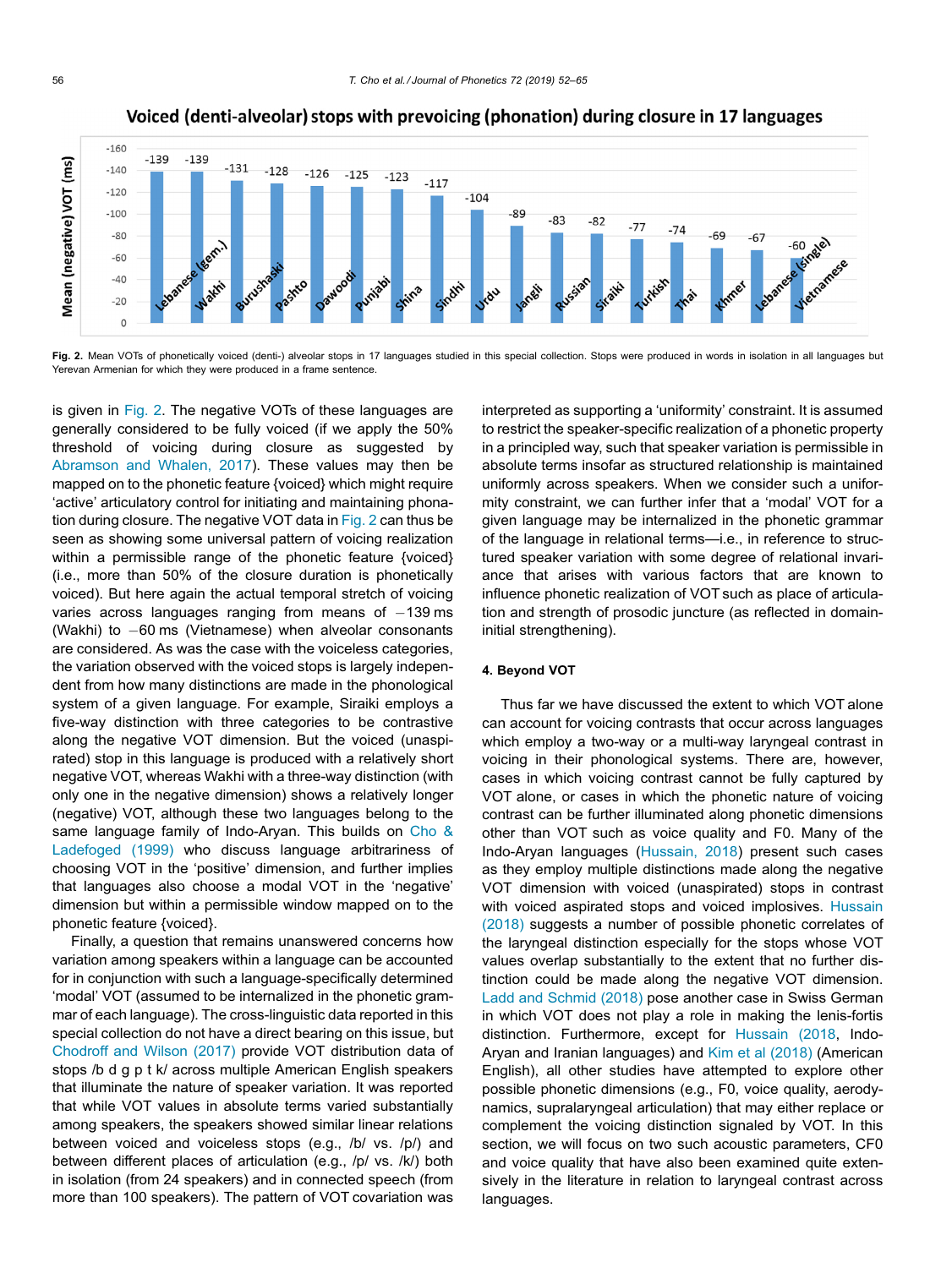<span id="page-4-0"></span>

Voiced (denti-alveolar) stops with prevoicing (phonation) during closure in 17 languages

Fig. 2. Mean VOTs of phonetically voiced (denti-) alveolar stops in 17 languages studied in this special collection. Stops were produced in words in isolation in all languages but Yerevan Armenian for which they were produced in a frame sentence.

is given in Fig. 2. The negative VOTs of these languages are generally considered to be fully voiced (if we apply the 50% threshold of voicing during closure as suggested by [Abramson and Whalen, 2017\)](#page-12-0). These values may then be mapped on to the phonetic feature {voiced} which might require 'active' articulatory control for initiating and maintaining phonation during closure. The negative VOT data in Fig. 2 can thus be seen as showing some universal pattern of voicing realization within a permissible range of the phonetic feature {voiced} (i.e., more than 50% of the closure duration is phonetically voiced). But here again the actual temporal stretch of voicing varies across languages ranging from means of  $-139$  ms (Wakhi) to  $-60$  ms (Vietnamese) when alveolar consonants are considered. As was the case with the voiceless categories, the variation observed with the voiced stops is largely independent from how many distinctions are made in the phonological system of a given language. For example, Siraiki employs a five-way distinction with three categories to be contrastive along the negative VOT dimension. But the voiced (unaspirated) stop in this language is produced with a relatively short negative VOT, whereas Wakhi with a three-way distinction (with only one in the negative dimension) shows a relatively longer (negative) VOT, although these two languages belong to the same language family of Indo-Aryan. This builds on [Cho &](#page-12-0) [Ladefoged \(1999\)](#page-12-0) who discuss language arbitrariness of choosing VOT in the 'positive' dimension, and further implies that languages also choose a modal VOT in the 'negative' dimension but within a permissible window mapped on to the phonetic feature {voiced}.

Finally, a question that remains unanswered concerns how variation among speakers within a language can be accounted for in conjunction with such a language-specifically determined 'modal' VOT (assumed to be internalized in the phonetic grammar of each language). The cross-linguistic data reported in this special collection do not have a direct bearing on this issue, but [Chodroff and Wilson \(2017\)](#page-12-0) provide VOT distribution data of stops /b d g p t k/ across multiple American English speakers that illuminate the nature of speaker variation. It was reported that while VOT values in absolute terms varied substantially among speakers, the speakers showed similar linear relations between voiced and voiceless stops (e.g., /b/ vs. /p/) and between different places of articulation (e.g., /p/ vs. /k/) both in isolation (from 24 speakers) and in connected speech (from more than 100 speakers). The pattern of VOT covariation was interpreted as supporting a 'uniformity' constraint. It is assumed to restrict the speaker-specific realization of a phonetic property in a principled way, such that speaker variation is permissible in absolute terms insofar as structured relationship is maintained uniformly across speakers. When we consider such a uniformity constraint, we can further infer that a 'modal' VOT for a given language may be internalized in the phonetic grammar of the language in relational terms—i.e., in reference to structured speaker variation with some degree of relational invariance that arises with various factors that are known to influence phonetic realization of VOT such as place of articulation and strength of prosodic juncture (as reflected in domaininitial strengthening).

#### 4. Beyond VOT

Thus far we have discussed the extent to which VOT alone can account for voicing contrasts that occur across languages which employ a two-way or a multi-way laryngeal contrast in voicing in their phonological systems. There are, however, cases in which voicing contrast cannot be fully captured by VOT alone, or cases in which the phonetic nature of voicing contrast can be further illuminated along phonetic dimensions other than VOT such as voice quality and F0. Many of the Indo-Aryan languages [\(Hussain, 2018\)](#page-13-0) present such cases as they employ multiple distinctions made along the negative VOT dimension with voiced (unaspirated) stops in contrast with voiced aspirated stops and voiced implosives. [Hussain](#page-13-0) [\(2018\)](#page-13-0) suggests a number of possible phonetic correlates of the laryngeal distinction especially for the stops whose VOT values overlap substantially to the extent that no further distinction could be made along the negative VOT dimension. [Ladd and Schmid \(2018\)](#page-13-0) pose another case in Swiss German in which VOT does not play a role in making the lenis-fortis distinction. Furthermore, except for [Hussain \(2018](#page-13-0), Indo-Aryan and Iranian languages) and [Kim et al \(2018\)](#page-13-0) (American English), all other studies have attempted to explore other possible phonetic dimensions (e.g., F0, voice quality, aerodynamics, supralaryngeal articulation) that may either replace or complement the voicing distinction signaled by VOT. In this section, we will focus on two such acoustic parameters, CF0 and voice quality that have also been examined quite extensively in the literature in relation to laryngeal contrast across languages.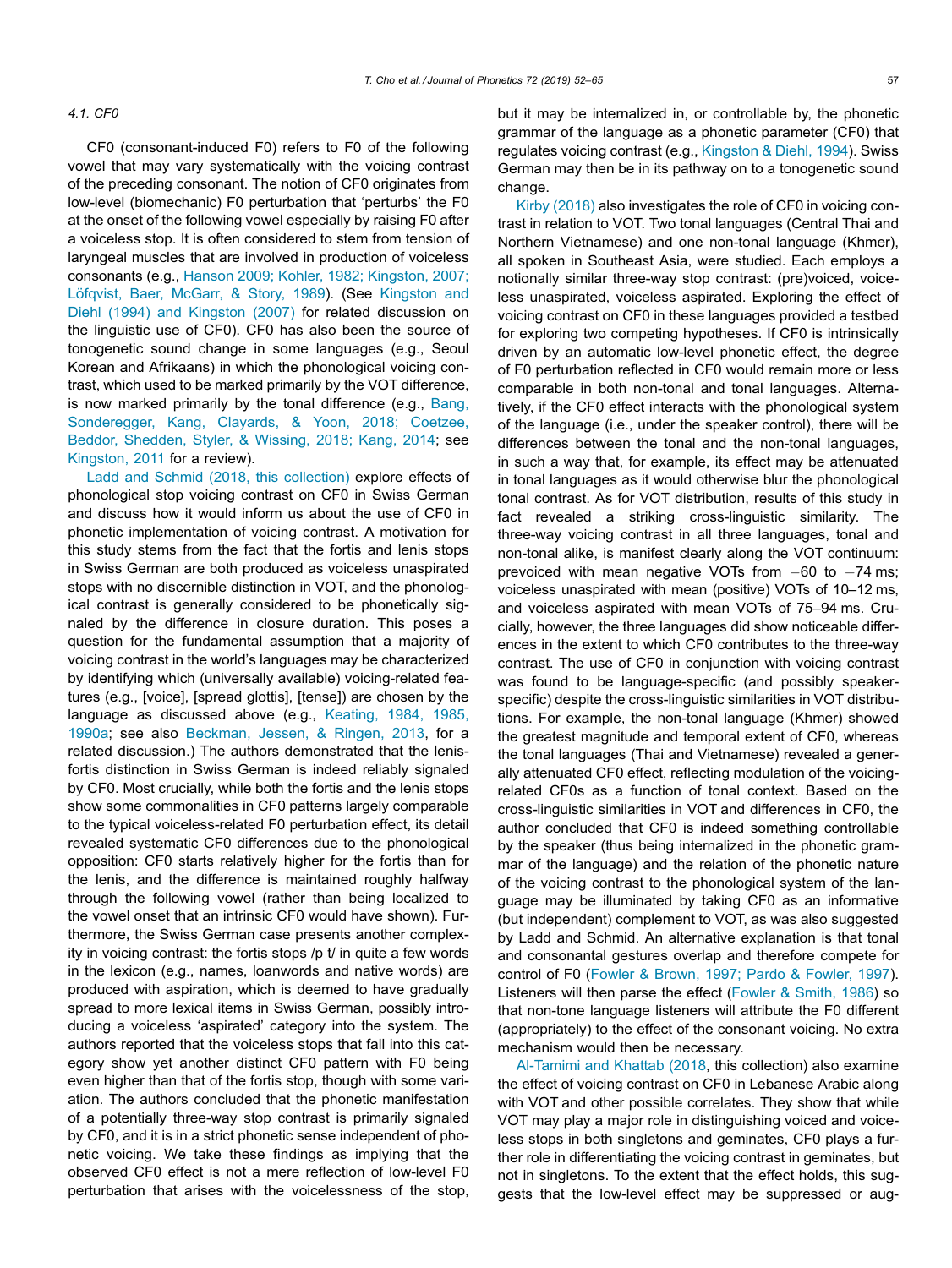CF0 (consonant-induced F0) refers to F0 of the following vowel that may vary systematically with the voicing contrast of the preceding consonant. The notion of CF0 originates from low-level (biomechanic) F0 perturbation that 'perturbs' the F0 at the onset of the following vowel especially by raising F0 after a voiceless stop. It is often considered to stem from tension of laryngeal muscles that are involved in production of voiceless consonants (e.g., [Hanson 2009; Kohler, 1982; Kingston, 2007;](#page-13-0) [Löfqvist, Baer, McGarr, & Story, 1989\)](#page-13-0). (See [Kingston and](#page-13-0) [Diehl \(1994\) and Kingston \(2007\)](#page-13-0) for related discussion on the linguistic use of CF0). CF0 has also been the source of tonogenetic sound change in some languages (e.g., Seoul Korean and Afrikaans) in which the phonological voicing contrast, which used to be marked primarily by the VOT difference, is now marked primarily by the tonal difference (e.g., [Bang,](#page-12-0) [Sonderegger, Kang, Clayards, & Yoon, 2018; Coetzee,](#page-12-0) [Beddor, Shedden, Styler, & Wissing, 2018; Kang, 2014;](#page-12-0) see [Kingston, 2011](#page-13-0) for a review).

[Ladd and Schmid \(2018, this collection\)](#page-13-0) explore effects of phonological stop voicing contrast on CF0 in Swiss German and discuss how it would inform us about the use of CF0 in phonetic implementation of voicing contrast. A motivation for this study stems from the fact that the fortis and lenis stops in Swiss German are both produced as voiceless unaspirated stops with no discernible distinction in VOT, and the phonological contrast is generally considered to be phonetically signaled by the difference in closure duration. This poses a question for the fundamental assumption that a majority of voicing contrast in the world's languages may be characterized by identifying which (universally available) voicing-related features (e.g., [voice], [spread glottis], [tense]) are chosen by the language as discussed above (e.g., [Keating, 1984, 1985,](#page-13-0) [1990a;](#page-13-0) see also [Beckman, Jessen, & Ringen, 2013,](#page-12-0) for a related discussion.) The authors demonstrated that the lenisfortis distinction in Swiss German is indeed reliably signaled by CF0. Most crucially, while both the fortis and the lenis stops show some commonalities in CF0 patterns largely comparable to the typical voiceless-related F0 perturbation effect, its detail revealed systematic CF0 differences due to the phonological opposition: CF0 starts relatively higher for the fortis than for the lenis, and the difference is maintained roughly halfway through the following vowel (rather than being localized to the vowel onset that an intrinsic CF0 would have shown). Furthermore, the Swiss German case presents another complexity in voicing contrast: the fortis stops /p t/ in quite a few words in the lexicon (e.g., names, loanwords and native words) are produced with aspiration, which is deemed to have gradually spread to more lexical items in Swiss German, possibly introducing a voiceless 'aspirated' category into the system. The authors reported that the voiceless stops that fall into this category show yet another distinct CF0 pattern with F0 being even higher than that of the fortis stop, though with some variation. The authors concluded that the phonetic manifestation of a potentially three-way stop contrast is primarily signaled by CF0, and it is in a strict phonetic sense independent of phonetic voicing. We take these findings as implying that the observed CF0 effect is not a mere reflection of low-level F0 perturbation that arises with the voicelessness of the stop,

but it may be internalized in, or controllable by, the phonetic grammar of the language as a phonetic parameter (CF0) that regulates voicing contrast (e.g., [Kingston & Diehl, 1994\)](#page-13-0). Swiss German may then be in its pathway on to a tonogenetic sound change.

[Kirby \(2018\)](#page-13-0) also investigates the role of CF0 in voicing contrast in relation to VOT. Two tonal languages (Central Thai and Northern Vietnamese) and one non-tonal language (Khmer), all spoken in Southeast Asia, were studied. Each employs a notionally similar three-way stop contrast: (pre)voiced, voiceless unaspirated, voiceless aspirated. Exploring the effect of voicing contrast on CF0 in these languages provided a testbed for exploring two competing hypotheses. If CF0 is intrinsically driven by an automatic low-level phonetic effect, the degree of F0 perturbation reflected in CF0 would remain more or less comparable in both non-tonal and tonal languages. Alternatively, if the CF0 effect interacts with the phonological system of the language (i.e., under the speaker control), there will be differences between the tonal and the non-tonal languages, in such a way that, for example, its effect may be attenuated in tonal languages as it would otherwise blur the phonological tonal contrast. As for VOT distribution, results of this study in fact revealed a striking cross-linguistic similarity. The three-way voicing contrast in all three languages, tonal and non-tonal alike, is manifest clearly along the VOT continuum: prevoiced with mean negative VOTs from  $-60$  to  $-74$  ms; voiceless unaspirated with mean (positive) VOTs of 10–12 ms, and voiceless aspirated with mean VOTs of 75–94 ms. Crucially, however, the three languages did show noticeable differences in the extent to which CF0 contributes to the three-way contrast. The use of CF0 in conjunction with voicing contrast was found to be language-specific (and possibly speakerspecific) despite the cross-linguistic similarities in VOT distributions. For example, the non-tonal language (Khmer) showed the greatest magnitude and temporal extent of CF0, whereas the tonal languages (Thai and Vietnamese) revealed a generally attenuated CF0 effect, reflecting modulation of the voicingrelated CF0s as a function of tonal context. Based on the cross-linguistic similarities in VOT and differences in CF0, the author concluded that CF0 is indeed something controllable by the speaker (thus being internalized in the phonetic grammar of the language) and the relation of the phonetic nature of the voicing contrast to the phonological system of the language may be illuminated by taking CF0 as an informative (but independent) complement to VOT, as was also suggested by Ladd and Schmid. An alternative explanation is that tonal and consonantal gestures overlap and therefore compete for control of F0 ([Fowler & Brown, 1997; Pardo & Fowler, 1997](#page-13-0)). Listeners will then parse the effect ([Fowler & Smith, 1986\)](#page-13-0) so that non-tone language listeners will attribute the F0 different (appropriately) to the effect of the consonant voicing. No extra mechanism would then be necessary.

[Al-Tamimi and Khattab \(2018,](#page-12-0) this collection) also examine the effect of voicing contrast on CF0 in Lebanese Arabic along with VOT and other possible correlates. They show that while VOT may play a major role in distinguishing voiced and voiceless stops in both singletons and geminates, CF0 plays a further role in differentiating the voicing contrast in geminates, but not in singletons. To the extent that the effect holds, this suggests that the low-level effect may be suppressed or aug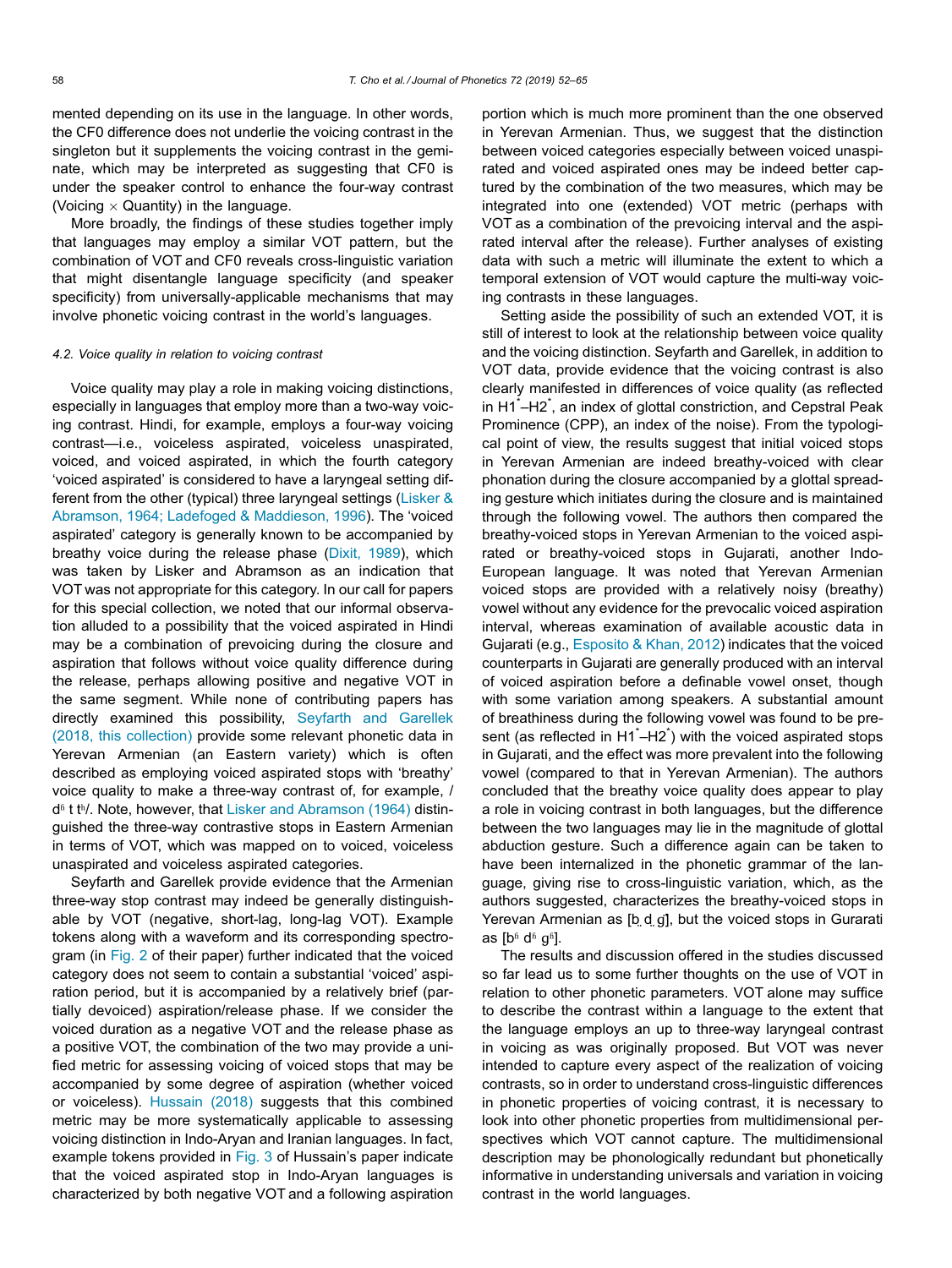mented depending on its use in the language. In other words, the CF0 difference does not underlie the voicing contrast in the singleton but it supplements the voicing contrast in the geminate, which may be interpreted as suggesting that CF0 is under the speaker control to enhance the four-way contrast (Voicing  $\times$  Quantity) in the language.

More broadly, the findings of these studies together imply that languages may employ a similar VOT pattern, but the combination of VOT and CF0 reveals cross-linguistic variation that might disentangle language specificity (and speaker specificity) from universally-applicable mechanisms that may involve phonetic voicing contrast in the world's languages.

## 4.2. Voice quality in relation to voicing contrast

Voice quality may play a role in making voicing distinctions, especially in languages that employ more than a two-way voicing contrast. Hindi, for example, employs a four-way voicing contrast—i.e., voiceless aspirated, voiceless unaspirated, voiced, and voiced aspirated, in which the fourth category 'voiced aspirated' is considered to have a laryngeal setting different from the other (typical) three laryngeal settings ([Lisker &](#page-13-0) [Abramson, 1964; Ladefoged & Maddieson, 1996](#page-13-0)). The 'voiced aspirated' category is generally known to be accompanied by breathy voice during the release phase ([Dixit, 1989\)](#page-12-0), which was taken by Lisker and Abramson as an indication that VOT was not appropriate for this category. In our call for papers for this special collection, we noted that our informal observation alluded to a possibility that the voiced aspirated in Hindi may be a combination of prevoicing during the closure and aspiration that follows without voice quality difference during the release, perhaps allowing positive and negative VOT in the same segment. While none of contributing papers has directly examined this possibility, [Seyfarth and Garellek](#page-13-0) [\(2018, this collection\)](#page-13-0) provide some relevant phonetic data in Yerevan Armenian (an Eastern variety) which is often described as employing voiced aspirated stops with 'breathy' voice quality to make a three-way contrast of, for example, / dʱ t tʰ/. Note, however, that [Lisker and Abramson \(1964\)](#page-13-0) distinguished the three-way contrastive stops in Eastern Armenian in terms of VOT, which was mapped on to voiced, voiceless unaspirated and voiceless aspirated categories.

Seyfarth and Garellek provide evidence that the Armenian three-way stop contrast may indeed be generally distinguishable by VOT (negative, short-lag, long-lag VOT). Example tokens along with a waveform and its corresponding spectrogram (in [Fig. 2](#page-4-0) of their paper) further indicated that the voiced category does not seem to contain a substantial 'voiced' aspiration period, but it is accompanied by a relatively brief (partially devoiced) aspiration/release phase. If we consider the voiced duration as a negative VOT and the release phase as a positive VOT, the combination of the two may provide a unified metric for assessing voicing of voiced stops that may be accompanied by some degree of aspiration (whether voiced or voiceless). [Hussain \(2018\)](#page-13-0) suggests that this combined metric may be more systematically applicable to assessing voicing distinction in Indo-Aryan and Iranian languages. In fact, example tokens provided in [Fig. 3](#page-7-0) of Hussain's paper indicate that the voiced aspirated stop in Indo-Aryan languages is characterized by both negative VOT and a following aspiration portion which is much more prominent than the one observed in Yerevan Armenian. Thus, we suggest that the distinction between voiced categories especially between voiced unaspirated and voiced aspirated ones may be indeed better captured by the combination of the two measures, which may be integrated into one (extended) VOT metric (perhaps with VOT as a combination of the prevoicing interval and the aspirated interval after the release). Further analyses of existing data with such a metric will illuminate the extent to which a temporal extension of VOT would capture the multi-way voicing contrasts in these languages.

Setting aside the possibility of such an extended VOT, it is still of interest to look at the relationship between voice quality and the voicing distinction. Seyfarth and Garellek, in addition to VOT data, provide evidence that the voicing contrast is also clearly manifested in differences of voice quality (as reflected in H1<sup>\*</sup>-H2<sup>\*</sup>, an index of glottal constriction, and Cepstral Peak Prominence (CPP), an index of the noise). From the typological point of view, the results suggest that initial voiced stops in Yerevan Armenian are indeed breathy-voiced with clear phonation during the closure accompanied by a glottal spreading gesture which initiates during the closure and is maintained through the following vowel. The authors then compared the breathy-voiced stops in Yerevan Armenian to the voiced aspirated or breathy-voiced stops in Gujarati, another Indo-European language. It was noted that Yerevan Armenian voiced stops are provided with a relatively noisy (breathy) vowel without any evidence for the prevocalic voiced aspiration interval, whereas examination of available acoustic data in Gujarati (e.g., [Esposito & Khan, 2012\)](#page-13-0) indicates that the voiced counterparts in Gujarati are generally produced with an interval of voiced aspiration before a definable vowel onset, though with some variation among speakers. A substantial amount of breathiness during the following vowel was found to be present (as reflected in H1<sup>\*</sup>-H2<sup>\*</sup>) with the voiced aspirated stops in Gujarati, and the effect was more prevalent into the following vowel (compared to that in Yerevan Armenian). The authors concluded that the breathy voice quality does appear to play a role in voicing contrast in both languages, but the difference between the two languages may lie in the magnitude of glottal abduction gesture. Such a difference again can be taken to have been internalized in the phonetic grammar of the language, giving rise to cross-linguistic variation, which, as the authors suggested, characterizes the breathy-voiced stops in Yerevan Armenian as [b̥ ḍ g], but the voiced stops in Gurarati as [bh dh qh].

The results and discussion offered in the studies discussed so far lead us to some further thoughts on the use of VOT in relation to other phonetic parameters. VOT alone may suffice to describe the contrast within a language to the extent that the language employs an up to three-way laryngeal contrast in voicing as was originally proposed. But VOT was never intended to capture every aspect of the realization of voicing contrasts, so in order to understand cross-linguistic differences in phonetic properties of voicing contrast, it is necessary to look into other phonetic properties from multidimensional perspectives which VOT cannot capture. The multidimensional description may be phonologically redundant but phonetically informative in understanding universals and variation in voicing contrast in the world languages.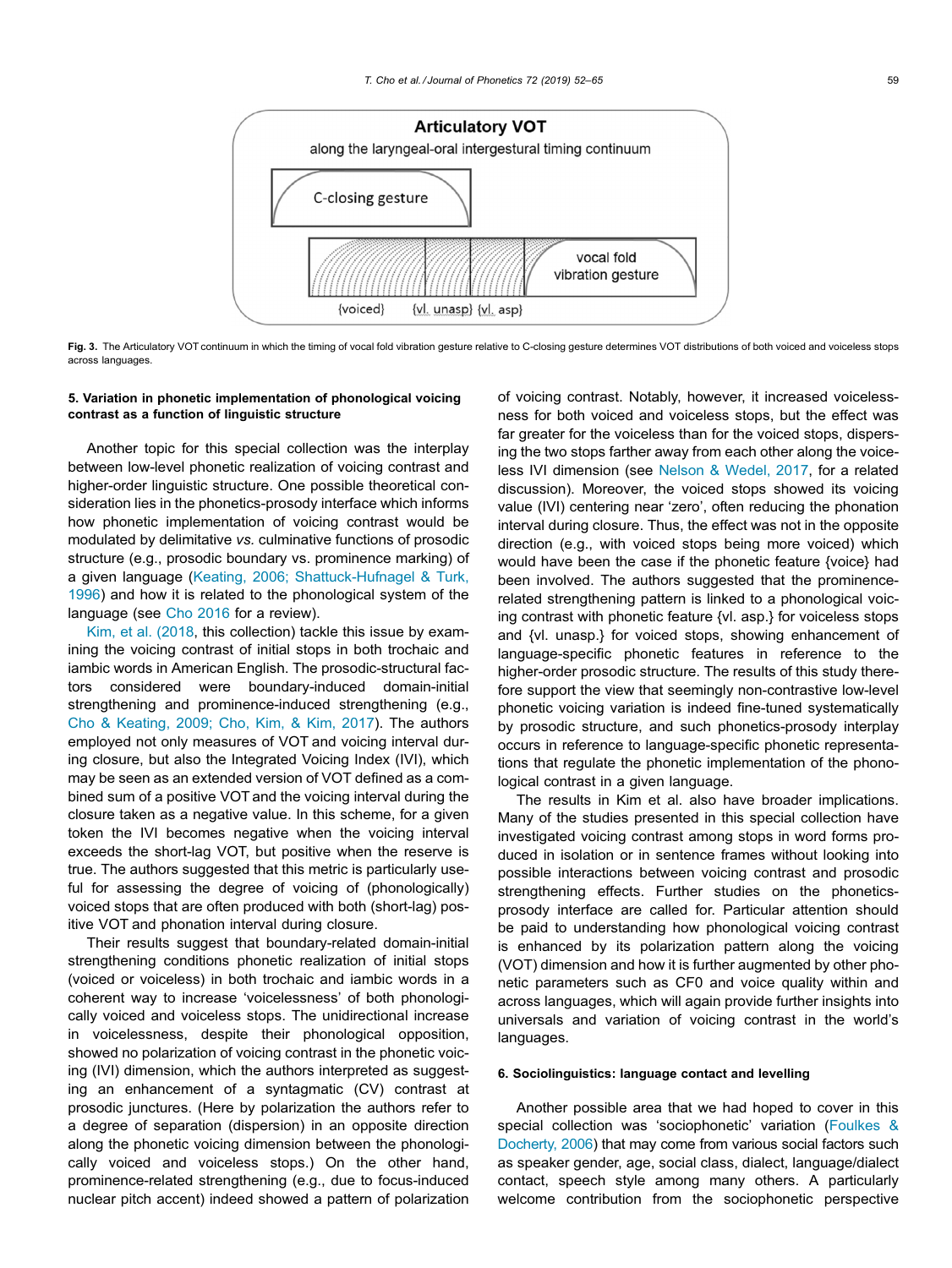<span id="page-7-0"></span>

Fig. 3. The Articulatory VOT continuum in which the timing of vocal fold vibration gesture relative to C-closing gesture determines VOT distributions of both voiced and voiceless stops across languages.

# 5. Variation in phonetic implementation of phonological voicing contrast as a function of linguistic structure

Another topic for this special collection was the interplay between low-level phonetic realization of voicing contrast and higher-order linguistic structure. One possible theoretical consideration lies in the phonetics-prosody interface which informs how phonetic implementation of voicing contrast would be modulated by delimitative vs. culminative functions of prosodic structure (e.g., prosodic boundary vs. prominence marking) of a given language ([Keating, 2006; Shattuck-Hufnagel & Turk,](#page-13-0) [1996\)](#page-13-0) and how it is related to the phonological system of the language (see [Cho 2016](#page-12-0) for a review).

[Kim, et al. \(2018](#page-13-0), this collection) tackle this issue by examining the voicing contrast of initial stops in both trochaic and iambic words in American English. The prosodic-structural factors considered were boundary-induced domain-initial strengthening and prominence-induced strengthening (e.g., [Cho & Keating, 2009; Cho, Kim, & Kim, 2017](#page-12-0)). The authors employed not only measures of VOT and voicing interval during closure, but also the Integrated Voicing Index (IVI), which may be seen as an extended version of VOT defined as a combined sum of a positive VOT and the voicing interval during the closure taken as a negative value. In this scheme, for a given token the IVI becomes negative when the voicing interval exceeds the short-lag VOT, but positive when the reserve is true. The authors suggested that this metric is particularly useful for assessing the degree of voicing of (phonologically) voiced stops that are often produced with both (short-lag) positive VOT and phonation interval during closure.

Their results suggest that boundary-related domain-initial strengthening conditions phonetic realization of initial stops (voiced or voiceless) in both trochaic and iambic words in a coherent way to increase 'voicelessness' of both phonologically voiced and voiceless stops. The unidirectional increase in voicelessness, despite their phonological opposition, showed no polarization of voicing contrast in the phonetic voicing (IVI) dimension, which the authors interpreted as suggesting an enhancement of a syntagmatic (CV) contrast at prosodic junctures. (Here by polarization the authors refer to a degree of separation (dispersion) in an opposite direction along the phonetic voicing dimension between the phonologically voiced and voiceless stops.) On the other hand, prominence-related strengthening (e.g., due to focus-induced nuclear pitch accent) indeed showed a pattern of polarization

of voicing contrast. Notably, however, it increased voicelessness for both voiced and voiceless stops, but the effect was far greater for the voiceless than for the voiced stops, dispersing the two stops farther away from each other along the voiceless IVI dimension (see [Nelson & Wedel, 2017](#page-13-0), for a related discussion). Moreover, the voiced stops showed its voicing value (IVI) centering near 'zero', often reducing the phonation interval during closure. Thus, the effect was not in the opposite direction (e.g., with voiced stops being more voiced) which would have been the case if the phonetic feature {voice} had been involved. The authors suggested that the prominencerelated strengthening pattern is linked to a phonological voicing contrast with phonetic feature {vl. asp.} for voiceless stops and {vl. unasp.} for voiced stops, showing enhancement of language-specific phonetic features in reference to the higher-order prosodic structure. The results of this study therefore support the view that seemingly non-contrastive low-level phonetic voicing variation is indeed fine-tuned systematically by prosodic structure, and such phonetics-prosody interplay occurs in reference to language-specific phonetic representations that regulate the phonetic implementation of the phonological contrast in a given language.

The results in Kim et al. also have broader implications. Many of the studies presented in this special collection have investigated voicing contrast among stops in word forms produced in isolation or in sentence frames without looking into possible interactions between voicing contrast and prosodic strengthening effects. Further studies on the phoneticsprosody interface are called for. Particular attention should be paid to understanding how phonological voicing contrast is enhanced by its polarization pattern along the voicing (VOT) dimension and how it is further augmented by other phonetic parameters such as CF0 and voice quality within and across languages, which will again provide further insights into universals and variation of voicing contrast in the world's languages.

#### 6. Sociolinguistics: language contact and levelling

Another possible area that we had hoped to cover in this special collection was 'sociophonetic' variation ([Foulkes &](#page-13-0) [Docherty, 2006](#page-13-0)) that may come from various social factors such as speaker gender, age, social class, dialect, language/dialect contact, speech style among many others. A particularly welcome contribution from the sociophonetic perspective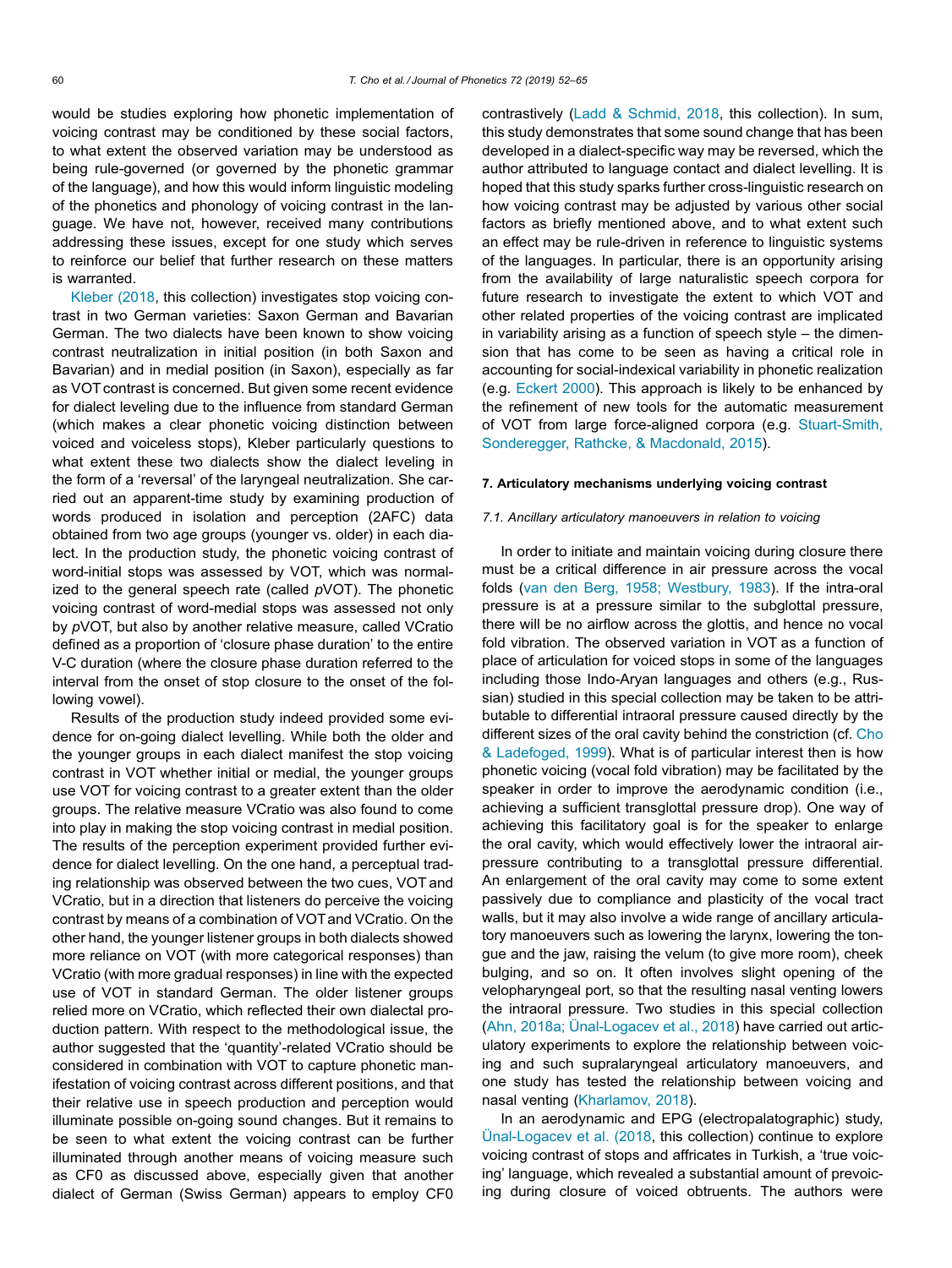would be studies exploring how phonetic implementation of voicing contrast may be conditioned by these social factors, to what extent the observed variation may be understood as being rule-governed (or governed by the phonetic grammar of the language), and how this would inform linguistic modeling of the phonetics and phonology of voicing contrast in the language. We have not, however, received many contributions addressing these issues, except for one study which serves to reinforce our belief that further research on these matters is warranted.

[Kleber \(2018](#page-13-0), this collection) investigates stop voicing contrast in two German varieties: Saxon German and Bavarian German. The two dialects have been known to show voicing contrast neutralization in initial position (in both Saxon and Bavarian) and in medial position (in Saxon), especially as far as VOT contrast is concerned. But given some recent evidence for dialect leveling due to the influence from standard German (which makes a clear phonetic voicing distinction between voiced and voiceless stops), Kleber particularly questions to what extent these two dialects show the dialect leveling in the form of a 'reversal' of the laryngeal neutralization. She carried out an apparent-time study by examining production of words produced in isolation and perception (2AFC) data obtained from two age groups (younger vs. older) in each dialect. In the production study, the phonetic voicing contrast of word-initial stops was assessed by VOT, which was normalized to the general speech rate (called  $pVOT$ ). The phonetic voicing contrast of word-medial stops was assessed not only by pVOT, but also by another relative measure, called VCratio defined as a proportion of 'closure phase duration' to the entire V-C duration (where the closure phase duration referred to the interval from the onset of stop closure to the onset of the following vowel).

Results of the production study indeed provided some evidence for on-going dialect levelling. While both the older and the younger groups in each dialect manifest the stop voicing contrast in VOT whether initial or medial, the younger groups use VOT for voicing contrast to a greater extent than the older groups. The relative measure VCratio was also found to come into play in making the stop voicing contrast in medial position. The results of the perception experiment provided further evidence for dialect levelling. On the one hand, a perceptual trading relationship was observed between the two cues, VOT and VCratio, but in a direction that listeners do perceive the voicing contrast by means of a combination of VOTand VCratio. On the other hand, the younger listener groups in both dialects showed more reliance on VOT (with more categorical responses) than VCratio (with more gradual responses) in line with the expected use of VOT in standard German. The older listener groups relied more on VCratio, which reflected their own dialectal production pattern. With respect to the methodological issue, the author suggested that the 'quantity'-related VCratio should be considered in combination with VOT to capture phonetic manifestation of voicing contrast across different positions, and that their relative use in speech production and perception would illuminate possible on-going sound changes. But it remains to be seen to what extent the voicing contrast can be further illuminated through another means of voicing measure such as CF0 as discussed above, especially given that another dialect of German (Swiss German) appears to employ CF0 contrastively [\(Ladd & Schmid, 2018](#page-13-0), this collection). In sum, this study demonstrates that some sound change that has been developed in a dialect-specific way may be reversed, which the author attributed to language contact and dialect levelling. It is hoped that this study sparks further cross-linguistic research on how voicing contrast may be adjusted by various other social factors as briefly mentioned above, and to what extent such an effect may be rule-driven in reference to linguistic systems of the languages. In particular, there is an opportunity arising from the availability of large naturalistic speech corpora for future research to investigate the extent to which VOT and other related properties of the voicing contrast are implicated in variability arising as a function of speech style – the dimension that has come to be seen as having a critical role in accounting for social-indexical variability in phonetic realization (e.g. [Eckert 2000](#page-12-0)). This approach is likely to be enhanced by the refinement of new tools for the automatic measurement of VOT from large force-aligned corpora (e.g. [Stuart-Smith,](#page-13-0) [Sonderegger, Rathcke, & Macdonald, 2015](#page-13-0)).

#### 7. Articulatory mechanisms underlying voicing contrast

#### 7.1. Ancillary articulatory manoeuvers in relation to voicing

In order to initiate and maintain voicing during closure there must be a critical difference in air pressure across the vocal folds ([van den Berg, 1958; Westbury, 1983](#page-13-0)). If the intra-oral pressure is at a pressure similar to the subglottal pressure, there will be no airflow across the glottis, and hence no vocal fold vibration. The observed variation in VOT as a function of place of articulation for voiced stops in some of the languages including those Indo-Aryan languages and others (e.g., Russian) studied in this special collection may be taken to be attributable to differential intraoral pressure caused directly by the different sizes of the oral cavity behind the constriction (cf. [Cho](#page-12-0) [& Ladefoged, 1999\)](#page-12-0). What is of particular interest then is how phonetic voicing (vocal fold vibration) may be facilitated by the speaker in order to improve the aerodynamic condition (i.e., achieving a sufficient transglottal pressure drop). One way of achieving this facilitatory goal is for the speaker to enlarge the oral cavity, which would effectively lower the intraoral airpressure contributing to a transglottal pressure differential. An enlargement of the oral cavity may come to some extent passively due to compliance and plasticity of the vocal tract walls, but it may also involve a wide range of ancillary articulatory manoeuvers such as lowering the larynx, lowering the tongue and the jaw, raising the velum (to give more room), cheek bulging, and so on. It often involves slight opening of the velopharyngeal port, so that the resulting nasal venting lowers the intraoral pressure. Two studies in this special collection ([Ahn, 2018a; Ünal-Logacev et al., 2018\)](#page-12-0) have carried out articulatory experiments to explore the relationship between voicing and such supralaryngeal articulatory manoeuvers, and one study has tested the relationship between voicing and nasal venting ([Kharlamov, 2018\)](#page-13-0).

In an aerodynamic and EPG (electropalatographic) study, [Ünal-Logacev et al. \(2018,](#page-13-0) this collection) continue to explore voicing contrast of stops and affricates in Turkish, a 'true voicing' language, which revealed a substantial amount of prevoicing during closure of voiced obtruents. The authors were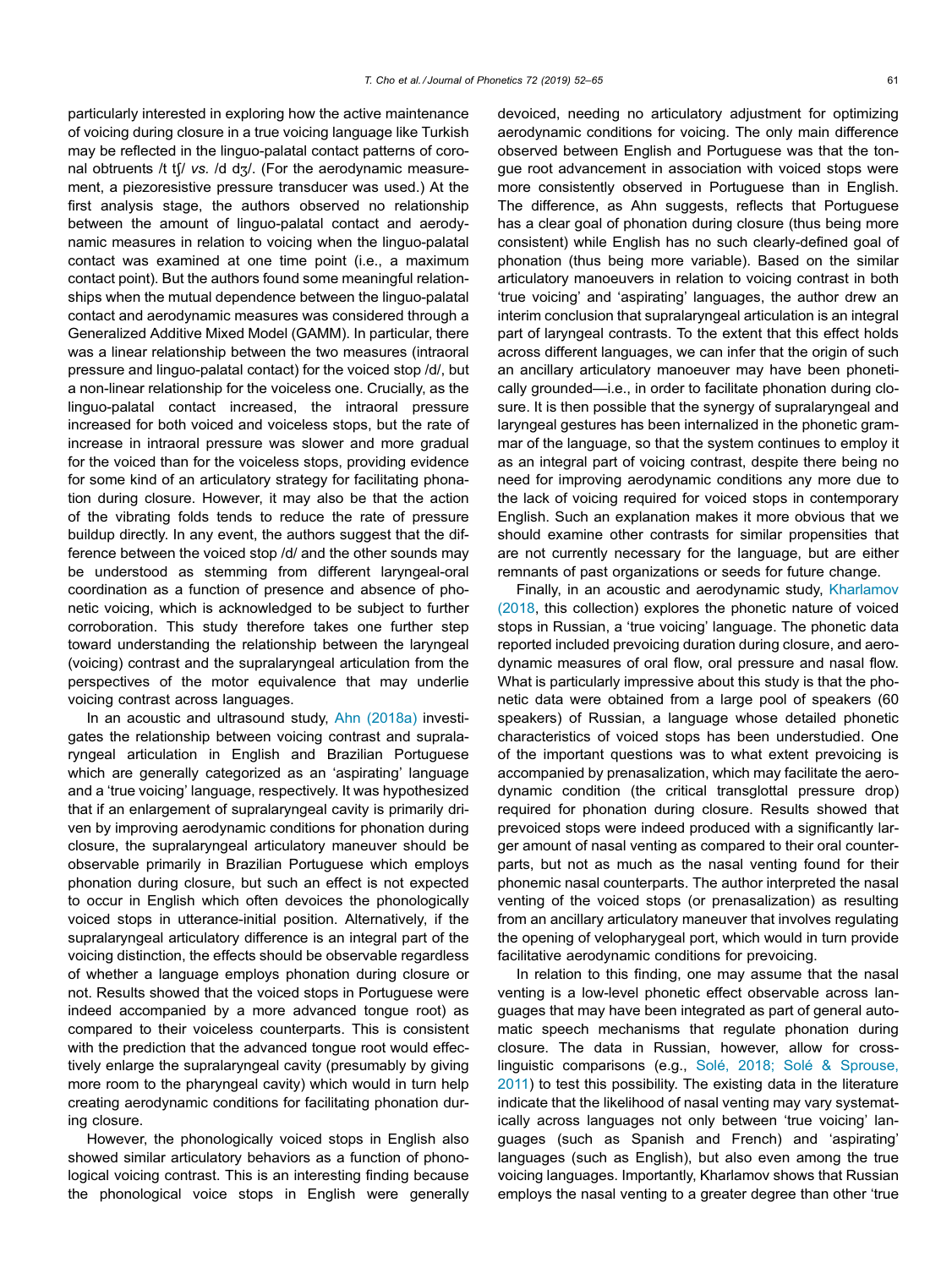particularly interested in exploring how the active maintenance of voicing during closure in a true voicing language like Turkish may be reflected in the linguo-palatal contact patterns of coronal obtruents /t tf/ vs. /d dʒ/. (For the aerodynamic measurement, a piezoresistive pressure transducer was used.) At the first analysis stage, the authors observed no relationship between the amount of linguo-palatal contact and aerodynamic measures in relation to voicing when the linguo-palatal contact was examined at one time point (i.e., a maximum contact point). But the authors found some meaningful relationships when the mutual dependence between the linguo-palatal contact and aerodynamic measures was considered through a Generalized Additive Mixed Model (GAMM). In particular, there was a linear relationship between the two measures (intraoral pressure and linguo-palatal contact) for the voiced stop /d/, but a non-linear relationship for the voiceless one. Crucially, as the linguo-palatal contact increased, the intraoral pressure increased for both voiced and voiceless stops, but the rate of increase in intraoral pressure was slower and more gradual for the voiced than for the voiceless stops, providing evidence for some kind of an articulatory strategy for facilitating phonation during closure. However, it may also be that the action of the vibrating folds tends to reduce the rate of pressure buildup directly. In any event, the authors suggest that the difference between the voiced stop /d/ and the other sounds may be understood as stemming from different laryngeal-oral coordination as a function of presence and absence of phonetic voicing, which is acknowledged to be subject to further corroboration. This study therefore takes one further step toward understanding the relationship between the laryngeal (voicing) contrast and the supralaryngeal articulation from the perspectives of the motor equivalence that may underlie voicing contrast across languages.

In an acoustic and ultrasound study, [Ahn \(2018a\)](#page-12-0) investigates the relationship between voicing contrast and supralaryngeal articulation in English and Brazilian Portuguese which are generally categorized as an 'aspirating' language and a 'true voicing' language, respectively. It was hypothesized that if an enlargement of supralaryngeal cavity is primarily driven by improving aerodynamic conditions for phonation during closure, the supralaryngeal articulatory maneuver should be observable primarily in Brazilian Portuguese which employs phonation during closure, but such an effect is not expected to occur in English which often devoices the phonologically voiced stops in utterance-initial position. Alternatively, if the supralaryngeal articulatory difference is an integral part of the voicing distinction, the effects should be observable regardless of whether a language employs phonation during closure or not. Results showed that the voiced stops in Portuguese were indeed accompanied by a more advanced tongue root) as compared to their voiceless counterparts. This is consistent with the prediction that the advanced tongue root would effectively enlarge the supralaryngeal cavity (presumably by giving more room to the pharyngeal cavity) which would in turn help creating aerodynamic conditions for facilitating phonation during closure.

However, the phonologically voiced stops in English also showed similar articulatory behaviors as a function of phonological voicing contrast. This is an interesting finding because the phonological voice stops in English were generally devoiced, needing no articulatory adjustment for optimizing aerodynamic conditions for voicing. The only main difference observed between English and Portuguese was that the tongue root advancement in association with voiced stops were more consistently observed in Portuguese than in English. The difference, as Ahn suggests, reflects that Portuguese has a clear goal of phonation during closure (thus being more consistent) while English has no such clearly-defined goal of phonation (thus being more variable). Based on the similar articulatory manoeuvers in relation to voicing contrast in both 'true voicing' and 'aspirating' languages, the author drew an interim conclusion that supralaryngeal articulation is an integral part of laryngeal contrasts. To the extent that this effect holds across different languages, we can infer that the origin of such an ancillary articulatory manoeuver may have been phonetically grounded—i.e., in order to facilitate phonation during closure. It is then possible that the synergy of supralaryngeal and laryngeal gestures has been internalized in the phonetic grammar of the language, so that the system continues to employ it as an integral part of voicing contrast, despite there being no need for improving aerodynamic conditions any more due to the lack of voicing required for voiced stops in contemporary English. Such an explanation makes it more obvious that we should examine other contrasts for similar propensities that are not currently necessary for the language, but are either remnants of past organizations or seeds for future change.

Finally, in an acoustic and aerodynamic study, [Kharlamov](#page-13-0) [\(2018,](#page-13-0) this collection) explores the phonetic nature of voiced stops in Russian, a 'true voicing' language. The phonetic data reported included prevoicing duration during closure, and aerodynamic measures of oral flow, oral pressure and nasal flow. What is particularly impressive about this study is that the phonetic data were obtained from a large pool of speakers (60 speakers) of Russian, a language whose detailed phonetic characteristics of voiced stops has been understudied. One of the important questions was to what extent prevoicing is accompanied by prenasalization, which may facilitate the aerodynamic condition (the critical transglottal pressure drop) required for phonation during closure. Results showed that prevoiced stops were indeed produced with a significantly larger amount of nasal venting as compared to their oral counterparts, but not as much as the nasal venting found for their phonemic nasal counterparts. The author interpreted the nasal venting of the voiced stops (or prenasalization) as resulting from an ancillary articulatory maneuver that involves regulating the opening of velopharygeal port, which would in turn provide facilitative aerodynamic conditions for prevoicing.

In relation to this finding, one may assume that the nasal venting is a low-level phonetic effect observable across languages that may have been integrated as part of general automatic speech mechanisms that regulate phonation during closure. The data in Russian, however, allow for crosslinguistic comparisons (e.g., [Solé, 2018; Solé & Sprouse,](#page-13-0) [2011](#page-13-0)) to test this possibility. The existing data in the literature indicate that the likelihood of nasal venting may vary systematically across languages not only between 'true voicing' languages (such as Spanish and French) and 'aspirating' languages (such as English), but also even among the true voicing languages. Importantly, Kharlamov shows that Russian employs the nasal venting to a greater degree than other 'true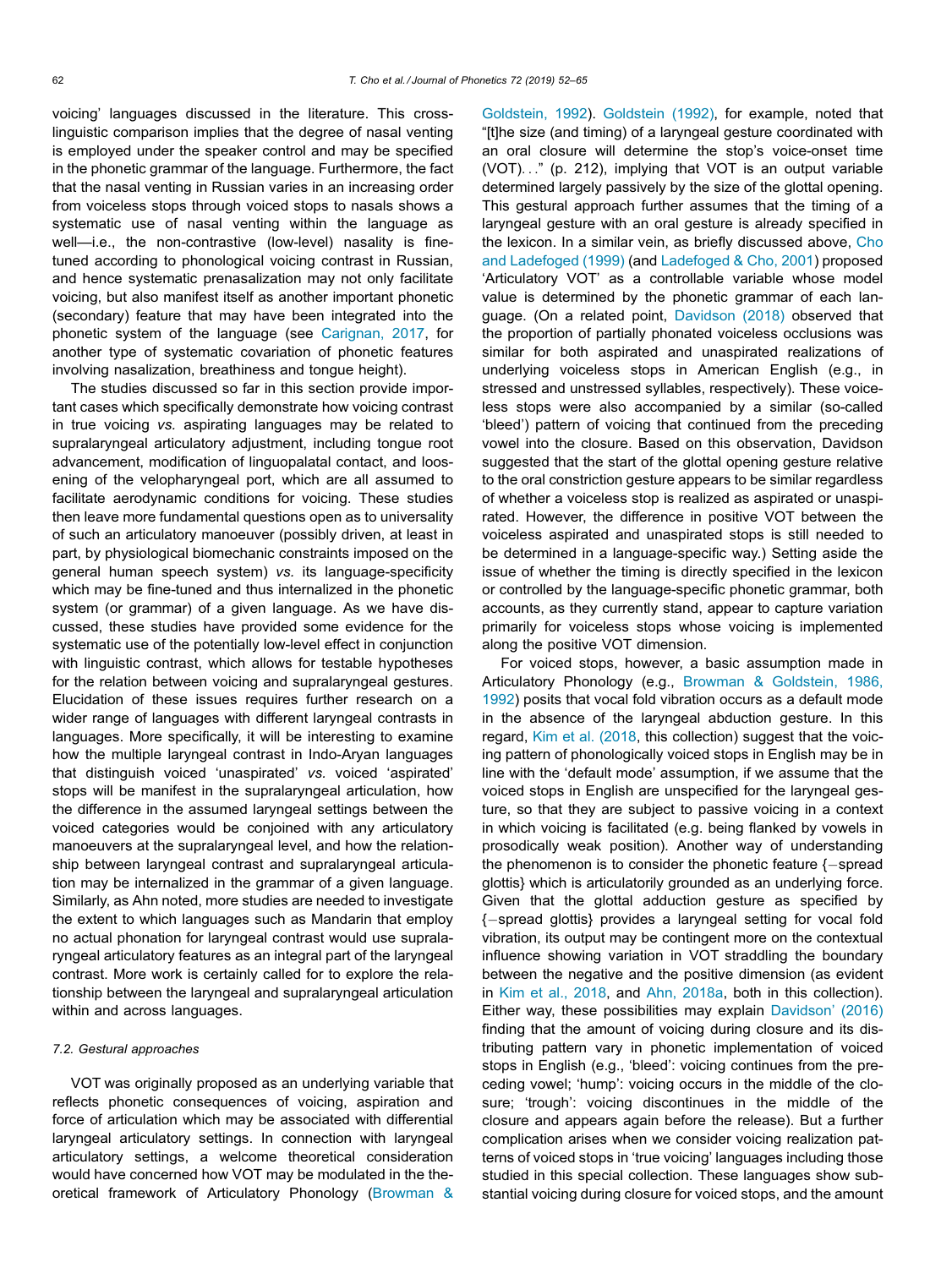voicing' languages discussed in the literature. This crosslinguistic comparison implies that the degree of nasal venting is employed under the speaker control and may be specified in the phonetic grammar of the language. Furthermore, the fact that the nasal venting in Russian varies in an increasing order from voiceless stops through voiced stops to nasals shows a systematic use of nasal venting within the language as well—i.e., the non-contrastive (low-level) nasality is finetuned according to phonological voicing contrast in Russian, and hence systematic prenasalization may not only facilitate voicing, but also manifest itself as another important phonetic (secondary) feature that may have been integrated into the phonetic system of the language (see [Carignan, 2017,](#page-12-0) for another type of systematic covariation of phonetic features involving nasalization, breathiness and tongue height).

The studies discussed so far in this section provide important cases which specifically demonstrate how voicing contrast in true voicing vs. aspirating languages may be related to supralaryngeal articulatory adjustment, including tongue root advancement, modification of linguopalatal contact, and loosening of the velopharyngeal port, which are all assumed to facilitate aerodynamic conditions for voicing. These studies then leave more fundamental questions open as to universality of such an articulatory manoeuver (possibly driven, at least in part, by physiological biomechanic constraints imposed on the general human speech system) vs. its language-specificity which may be fine-tuned and thus internalized in the phonetic system (or grammar) of a given language. As we have discussed, these studies have provided some evidence for the systematic use of the potentially low-level effect in conjunction with linguistic contrast, which allows for testable hypotheses for the relation between voicing and supralaryngeal gestures. Elucidation of these issues requires further research on a wider range of languages with different laryngeal contrasts in languages. More specifically, it will be interesting to examine how the multiple laryngeal contrast in Indo-Aryan languages that distinguish voiced 'unaspirated' vs. voiced 'aspirated' stops will be manifest in the supralaryngeal articulation, how the difference in the assumed laryngeal settings between the voiced categories would be conjoined with any articulatory manoeuvers at the supralaryngeal level, and how the relationship between laryngeal contrast and supralaryngeal articulation may be internalized in the grammar of a given language. Similarly, as Ahn noted, more studies are needed to investigate the extent to which languages such as Mandarin that employ no actual phonation for laryngeal contrast would use supralaryngeal articulatory features as an integral part of the laryngeal contrast. More work is certainly called for to explore the relationship between the laryngeal and supralaryngeal articulation within and across languages.

# 7.2. Gestural approaches

VOT was originally proposed as an underlying variable that reflects phonetic consequences of voicing, aspiration and force of articulation which may be associated with differential laryngeal articulatory settings. In connection with laryngeal articulatory settings, a welcome theoretical consideration would have concerned how VOT may be modulated in the theoretical framework of Articulatory Phonology [\(Browman &](#page-12-0) [Goldstein, 1992\)](#page-12-0). [Goldstein \(1992\),](#page-13-0) for example, noted that "[t]he size (and timing) of a laryngeal gesture coordinated with an oral closure will determine the stop's voice-onset time (VOT)..." (p. 212), implying that VOT is an output variable determined largely passively by the size of the glottal opening. This gestural approach further assumes that the timing of a laryngeal gesture with an oral gesture is already specified in the lexicon. In a similar vein, as briefly discussed above, [Cho](#page-12-0) [and Ladefoged \(1999\)](#page-12-0) (and [Ladefoged & Cho, 2001](#page-13-0)) proposed 'Articulatory VOT' as a controllable variable whose model value is determined by the phonetic grammar of each language. (On a related point, [Davidson \(2018\)](#page-12-0) observed that the proportion of partially phonated voiceless occlusions was similar for both aspirated and unaspirated realizations of underlying voiceless stops in American English (e.g., in stressed and unstressed syllables, respectively). These voiceless stops were also accompanied by a similar (so-called 'bleed') pattern of voicing that continued from the preceding vowel into the closure. Based on this observation, Davidson suggested that the start of the glottal opening gesture relative to the oral constriction gesture appears to be similar regardless of whether a voiceless stop is realized as aspirated or unaspirated. However, the difference in positive VOT between the voiceless aspirated and unaspirated stops is still needed to be determined in a language-specific way.) Setting aside the issue of whether the timing is directly specified in the lexicon or controlled by the language-specific phonetic grammar, both accounts, as they currently stand, appear to capture variation primarily for voiceless stops whose voicing is implemented along the positive VOT dimension.

For voiced stops, however, a basic assumption made in Articulatory Phonology (e.g., [Browman & Goldstein, 1986,](#page-12-0) [1992](#page-12-0)) posits that vocal fold vibration occurs as a default mode in the absence of the laryngeal abduction gesture. In this regard, [Kim et al. \(2018](#page-13-0), this collection) suggest that the voicing pattern of phonologically voiced stops in English may be in line with the 'default mode' assumption, if we assume that the voiced stops in English are unspecified for the laryngeal gesture, so that they are subject to passive voicing in a context in which voicing is facilitated (e.g. being flanked by vowels in prosodically weak position). Another way of understanding the phenomenon is to consider the phonetic feature  $\{-$ spread glottis} which is articulatorily grounded as an underlying force. Given that the glottal adduction gesture as specified by {-spread glottis} provides a laryngeal setting for vocal fold vibration, its output may be contingent more on the contextual influence showing variation in VOT straddling the boundary between the negative and the positive dimension (as evident in [Kim et al., 2018,](#page-13-0) and [Ahn, 2018a,](#page-12-0) both in this collection). Either way, these possibilities may explain [Davidson](#page-12-0)' (2016) finding that the amount of voicing during closure and its distributing pattern vary in phonetic implementation of voiced stops in English (e.g., 'bleed': voicing continues from the preceding vowel; 'hump': voicing occurs in the middle of the closure; 'trough': voicing discontinues in the middle of the closure and appears again before the release). But a further complication arises when we consider voicing realization patterns of voiced stops in 'true voicing' languages including those studied in this special collection. These languages show substantial voicing during closure for voiced stops, and the amount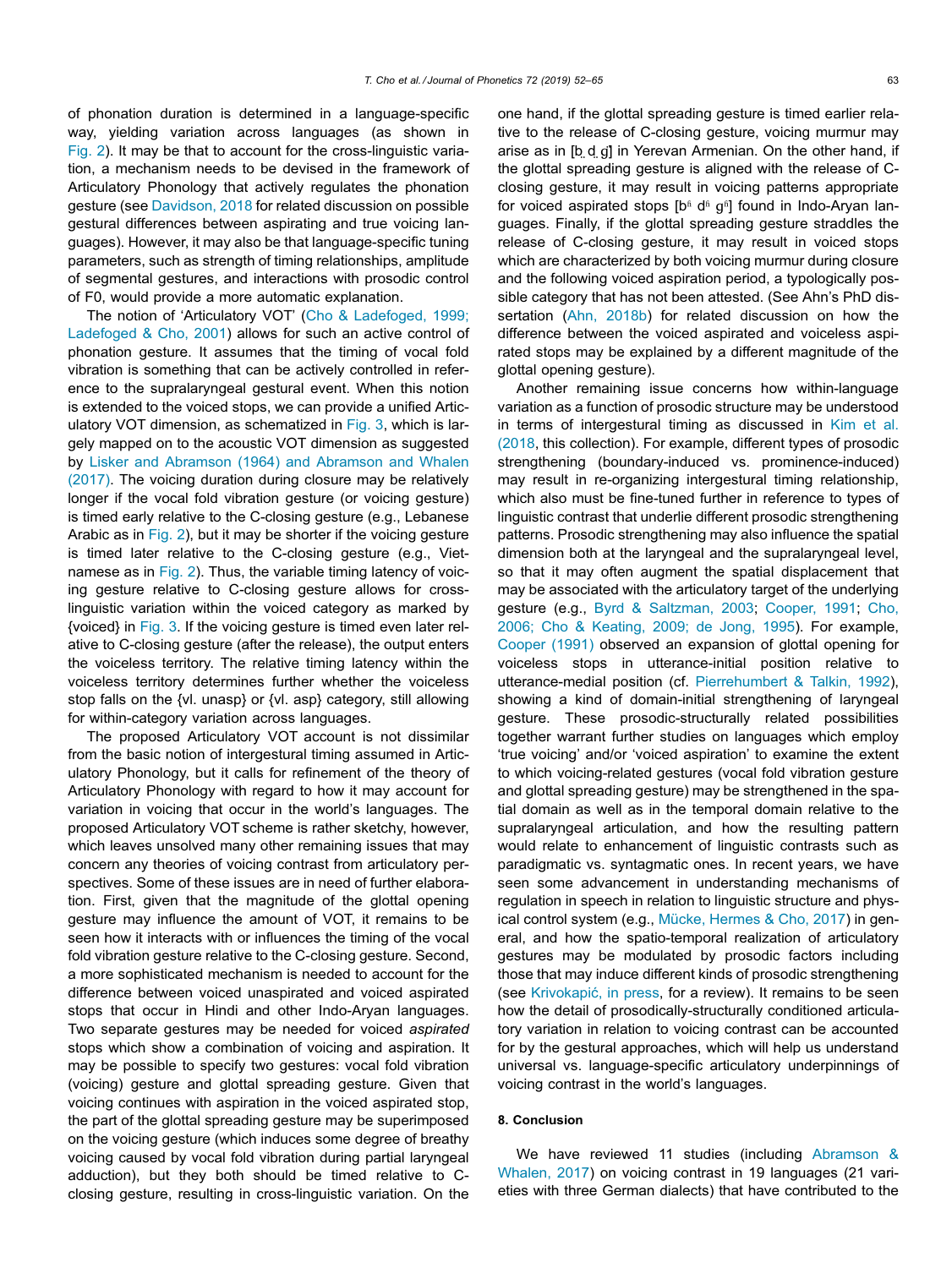of phonation duration is determined in a language-specific way, yielding variation across languages (as shown in [Fig. 2\)](#page-4-0). It may be that to account for the cross-linguistic variation, a mechanism needs to be devised in the framework of Articulatory Phonology that actively regulates the phonation gesture (see [Davidson, 2018](#page-12-0) for related discussion on possible gestural differences between aspirating and true voicing languages). However, it may also be that language-specific tuning parameters, such as strength of timing relationships, amplitude of segmental gestures, and interactions with prosodic control of F0, would provide a more automatic explanation.

The notion of 'Articulatory VOT' ([Cho & Ladefoged, 1999;](#page-12-0) [Ladefoged & Cho, 2001\)](#page-12-0) allows for such an active control of phonation gesture. It assumes that the timing of vocal fold vibration is something that can be actively controlled in reference to the supralaryngeal gestural event. When this notion is extended to the voiced stops, we can provide a unified Articulatory VOT dimension, as schematized in [Fig. 3,](#page-7-0) which is largely mapped on to the acoustic VOT dimension as suggested by [Lisker and Abramson \(1964\) and Abramson and Whalen](#page-13-0) [\(2017\).](#page-13-0) The voicing duration during closure may be relatively longer if the vocal fold vibration gesture (or voicing gesture) is timed early relative to the C-closing gesture (e.g., Lebanese Arabic as in [Fig. 2\)](#page-4-0), but it may be shorter if the voicing gesture is timed later relative to the C-closing gesture (e.g., Vietnamese as in [Fig. 2](#page-4-0)). Thus, the variable timing latency of voicing gesture relative to C-closing gesture allows for crosslinguistic variation within the voiced category as marked by {voiced} in [Fig. 3.](#page-7-0) If the voicing gesture is timed even later relative to C-closing gesture (after the release), the output enters the voiceless territory. The relative timing latency within the voiceless territory determines further whether the voiceless stop falls on the {vl. unasp} or {vl. asp} category, still allowing for within-category variation across languages.

The proposed Articulatory VOT account is not dissimilar from the basic notion of intergestural timing assumed in Articulatory Phonology, but it calls for refinement of the theory of Articulatory Phonology with regard to how it may account for variation in voicing that occur in the world's languages. The proposed Articulatory VOT scheme is rather sketchy, however, which leaves unsolved many other remaining issues that may concern any theories of voicing contrast from articulatory perspectives. Some of these issues are in need of further elaboration. First, given that the magnitude of the glottal opening gesture may influence the amount of VOT, it remains to be seen how it interacts with or influences the timing of the vocal fold vibration gesture relative to the C-closing gesture. Second, a more sophisticated mechanism is needed to account for the difference between voiced unaspirated and voiced aspirated stops that occur in Hindi and other Indo-Aryan languages. Two separate gestures may be needed for voiced aspirated stops which show a combination of voicing and aspiration. It may be possible to specify two gestures: vocal fold vibration (voicing) gesture and glottal spreading gesture. Given that voicing continues with aspiration in the voiced aspirated stop, the part of the glottal spreading gesture may be superimposed on the voicing gesture (which induces some degree of breathy voicing caused by vocal fold vibration during partial laryngeal adduction), but they both should be timed relative to Cclosing gesture, resulting in cross-linguistic variation. On the

one hand, if the glottal spreading gesture is timed earlier relative to the release of C-closing gesture, voicing murmur may arise as in [b d q] in Yerevan Armenian. On the other hand, if the glottal spreading gesture is aligned with the release of Cclosing gesture, it may result in voicing patterns appropriate for voiced aspirated stops [bi di gi] found in Indo-Aryan languages. Finally, if the glottal spreading gesture straddles the release of C-closing gesture, it may result in voiced stops which are characterized by both voicing murmur during closure and the following voiced aspiration period, a typologically possible category that has not been attested. (See Ahn's PhD dissertation [\(Ahn, 2018b\)](#page-12-0) for related discussion on how the difference between the voiced aspirated and voiceless aspirated stops may be explained by a different magnitude of the glottal opening gesture).

Another remaining issue concerns how within-language variation as a function of prosodic structure may be understood in terms of intergestural timing as discussed in [Kim et al.](#page-13-0) [\(2018,](#page-13-0) this collection). For example, different types of prosodic strengthening (boundary-induced vs. prominence-induced) may result in re-organizing intergestural timing relationship, which also must be fine-tuned further in reference to types of linguistic contrast that underlie different prosodic strengthening patterns. Prosodic strengthening may also influence the spatial dimension both at the laryngeal and the supralaryngeal level, so that it may often augment the spatial displacement that may be associated with the articulatory target of the underlying gesture (e.g., [Byrd & Saltzman, 2003;](#page-12-0) [Cooper, 1991](#page-12-0); [Cho,](#page-12-0) [2006; Cho & Keating, 2009; de Jong, 1995\)](#page-12-0). For example, [Cooper \(1991\)](#page-12-0) observed an expansion of glottal opening for voiceless stops in utterance-initial position relative to utterance-medial position (cf. [Pierrehumbert & Talkin, 1992](#page-13-0)), showing a kind of domain-initial strengthening of laryngeal gesture. These prosodic-structurally related possibilities together warrant further studies on languages which employ 'true voicing' and/or 'voiced aspiration' to examine the extent to which voicing-related gestures (vocal fold vibration gesture and glottal spreading gesture) may be strengthened in the spatial domain as well as in the temporal domain relative to the supralaryngeal articulation, and how the resulting pattern would relate to enhancement of linguistic contrasts such as paradigmatic vs. syntagmatic ones. In recent years, we have seen some advancement in understanding mechanisms of regulation in speech in relation to linguistic structure and physical control system (e.g., [Mücke, Hermes & Cho, 2017](#page-13-0)) in general, and how the spatio-temporal realization of articulatory gestures may be modulated by prosodic factors including those that may induce different kinds of prosodic strengthening (see Krivokapić[, in press,](#page-13-0) for a review). It remains to be seen how the detail of prosodically-structurally conditioned articulatory variation in relation to voicing contrast can be accounted for by the gestural approaches, which will help us understand universal vs. language-specific articulatory underpinnings of voicing contrast in the world's languages.

## 8. Conclusion

We have reviewed 11 studies (including [Abramson &](#page-12-0) [Whalen, 2017](#page-12-0)) on voicing contrast in 19 languages (21 varieties with three German dialects) that have contributed to the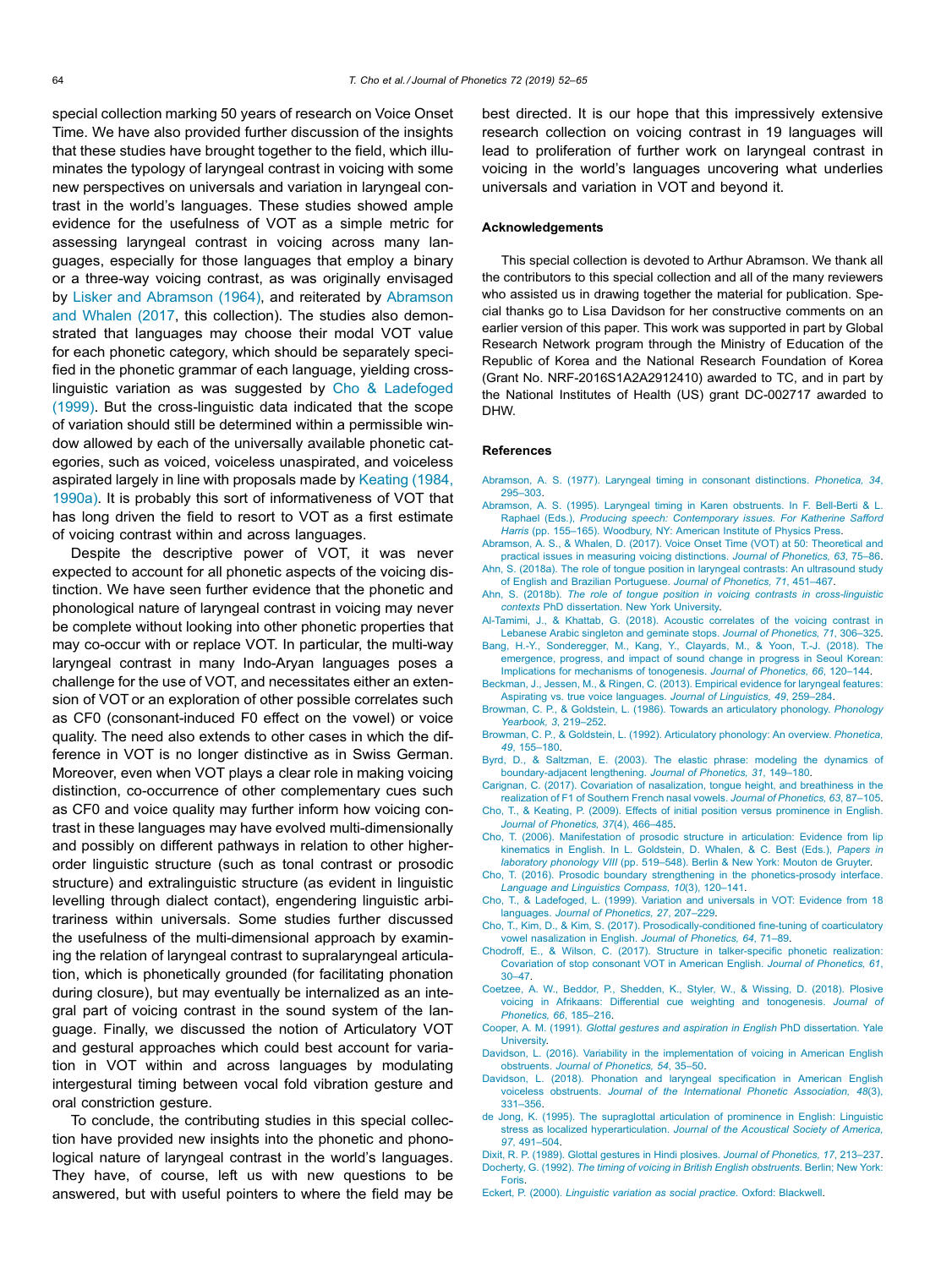<span id="page-12-0"></span>special collection marking 50 years of research on Voice Onset Time. We have also provided further discussion of the insights that these studies have brought together to the field, which illuminates the typology of laryngeal contrast in voicing with some new perspectives on universals and variation in laryngeal contrast in the world's languages. These studies showed ample evidence for the usefulness of VOT as a simple metric for assessing laryngeal contrast in voicing across many languages, especially for those languages that employ a binary or a three-way voicing contrast, as was originally envisaged by [Lisker and Abramson \(1964\)](#page-13-0), and reiterated by Abramson and Whalen (2017, this collection). The studies also demonstrated that languages may choose their modal VOT value for each phonetic category, which should be separately specified in the phonetic grammar of each language, yielding crosslinguistic variation as was suggested by Cho & Ladefoged (1999). But the cross-linguistic data indicated that the scope of variation should still be determined within a permissible window allowed by each of the universally available phonetic categories, such as voiced, voiceless unaspirated, and voiceless aspirated largely in line with proposals made by [Keating \(1984,](#page-13-0) [1990a\)](#page-13-0). It is probably this sort of informativeness of VOT that has long driven the field to resort to VOT as a first estimate of voicing contrast within and across languages.

Despite the descriptive power of VOT, it was never expected to account for all phonetic aspects of the voicing distinction. We have seen further evidence that the phonetic and phonological nature of laryngeal contrast in voicing may never be complete without looking into other phonetic properties that may co-occur with or replace VOT. In particular, the multi-way laryngeal contrast in many Indo-Aryan languages poses a challenge for the use of VOT, and necessitates either an extension of VOT or an exploration of other possible correlates such as CF0 (consonant-induced F0 effect on the vowel) or voice quality. The need also extends to other cases in which the difference in VOT is no longer distinctive as in Swiss German. Moreover, even when VOT plays a clear role in making voicing distinction, co-occurrence of other complementary cues such as CF0 and voice quality may further inform how voicing contrast in these languages may have evolved multi-dimensionally and possibly on different pathways in relation to other higherorder linguistic structure (such as tonal contrast or prosodic structure) and extralinguistic structure (as evident in linguistic levelling through dialect contact), engendering linguistic arbitrariness within universals. Some studies further discussed the usefulness of the multi-dimensional approach by examining the relation of laryngeal contrast to supralaryngeal articulation, which is phonetically grounded (for facilitating phonation during closure), but may eventually be internalized as an integral part of voicing contrast in the sound system of the language. Finally, we discussed the notion of Articulatory VOT and gestural approaches which could best account for variation in VOT within and across languages by modulating intergestural timing between vocal fold vibration gesture and oral constriction gesture.

To conclude, the contributing studies in this special collection have provided new insights into the phonetic and phonological nature of laryngeal contrast in the world's languages. They have, of course, left us with new questions to be answered, but with useful pointers to where the field may be best directed. It is our hope that this impressively extensive research collection on voicing contrast in 19 languages will lead to proliferation of further work on laryngeal contrast in voicing in the world's languages uncovering what underlies universals and variation in VOT and beyond it.

#### Acknowledgements

This special collection is devoted to Arthur Abramson. We thank all the contributors to this special collection and all of the many reviewers who assisted us in drawing together the material for publication. Special thanks go to Lisa Davidson for her constructive comments on an earlier version of this paper. This work was supported in part by Global Research Network program through the Ministry of Education of the Republic of Korea and the National Research Foundation of Korea (Grant No. NRF-2016S1A2A2912410) awarded to TC, and in part by the National Institutes of Health (US) grant DC-002717 awarded to DHW.

#### References

- [Abramson, A. S. \(1977\). Laryngeal timing in consonant distinctions.](http://refhub.elsevier.com/S0095-4470(18)30211-0/h0005) Phonetica, 34, 295–[303.](http://refhub.elsevier.com/S0095-4470(18)30211-0/h0005)
- [Abramson, A. S. \(1995\). Laryngeal timing in Karen obstruents. In F. Bell-Berti & L.](http://refhub.elsevier.com/S0095-4470(18)30211-0/h0010) Raphael (Eds.), [Producing speech: Contemporary issues. For Katherine Safford](http://refhub.elsevier.com/S0095-4470(18)30211-0/h0010) Harris (pp. 155–[165\). Woodbury, NY: American Institute of Physics Press](http://refhub.elsevier.com/S0095-4470(18)30211-0/h0010).
- [Abramson, A. S., & Whalen, D. \(2017\). Voice Onset Time \(VOT\) at 50: Theoretical and](http://refhub.elsevier.com/S0095-4470(18)30211-0/h0015) [practical issues in measuring voicing distinctions.](http://refhub.elsevier.com/S0095-4470(18)30211-0/h0015) Journal of Phonetics, 63, 75–86.
- [Ahn, S. \(2018a\). The role of tongue position in laryngeal contrasts: An ultrasound study](http://refhub.elsevier.com/S0095-4470(18)30211-0/h0020) [of English and Brazilian Portuguese.](http://refhub.elsevier.com/S0095-4470(18)30211-0/h0020) Journal of Phonetics, 71, 451–467.
- Ahn, S. (2018b). [The role of tongue position in voicing contrasts in cross-linguistic](http://refhub.elsevier.com/S0095-4470(18)30211-0/h0025) contexts [PhD dissertation. New York University.](http://refhub.elsevier.com/S0095-4470(18)30211-0/h0025)
- [Al-Tamimi, J., & Khattab, G. \(2018\). Acoustic correlates of the voicing contrast in](http://refhub.elsevier.com/S0095-4470(18)30211-0/h0030) [Lebanese Arabic singleton and geminate stops.](http://refhub.elsevier.com/S0095-4470(18)30211-0/h0030) Journal of Phonetics, 71, 306–325.
- [Bang, H.-Y., Sonderegger, M., Kang, Y., Clayards, M., & Yoon, T.-J. \(2018\). The](http://refhub.elsevier.com/S0095-4470(18)30211-0/h0035) [emergence, progress, and impact of sound change in progress in Seoul Korean:](http://refhub.elsevier.com/S0095-4470(18)30211-0/h0035) [Implications for mechanisms of tonogenesis.](http://refhub.elsevier.com/S0095-4470(18)30211-0/h0035) Journal of Phonetics, 66, 120–144.
- [Beckman, J., Jessen, M., & Ringen, C. \(2013\). Empirical evidence for laryngeal features:](http://refhub.elsevier.com/S0095-4470(18)30211-0/h0040) [Aspirating vs. true voice languages.](http://refhub.elsevier.com/S0095-4470(18)30211-0/h0040) Journal of Linguistics, 49, 259–284.
- [Browman, C. P., & Goldstein, L. \(1986\). Towards an articulatory phonology.](http://refhub.elsevier.com/S0095-4470(18)30211-0/h0045) Phonology [Yearbook, 3](http://refhub.elsevier.com/S0095-4470(18)30211-0/h0045), 219–252.
- [Browman, C. P., & Goldstein, L. \(1992\). Articulatory phonology: An overview.](http://refhub.elsevier.com/S0095-4470(18)30211-0/h0050) Phonetica, 49[, 155](http://refhub.elsevier.com/S0095-4470(18)30211-0/h0050)–180.
- [Byrd, D., & Saltzman, E. \(2003\). The elastic phrase: modeling the dynamics of](http://refhub.elsevier.com/S0095-4470(18)30211-0/h0055) [boundary-adjacent lengthening.](http://refhub.elsevier.com/S0095-4470(18)30211-0/h0055) Journal of Phonetics, 31, 149–180.
- [Carignan, C. \(2017\). Covariation of nasalization, tongue height, and breathiness in the](http://refhub.elsevier.com/S0095-4470(18)30211-0/h0060) [realization of F1 of Southern French nasal vowels.](http://refhub.elsevier.com/S0095-4470(18)30211-0/h0060) Journal of Phonetics, 63, 87–105.
- [Cho, T., & Keating, P. \(2009\). Effects of initial position versus prominence in English.](http://refhub.elsevier.com/S0095-4470(18)30211-0/h0065) [Journal of Phonetics, 37](http://refhub.elsevier.com/S0095-4470(18)30211-0/h0065)(4), 466–485.
- [Cho, T. \(2006\). Manifestation of prosodic structure in articulation: Evidence from lip](http://refhub.elsevier.com/S0095-4470(18)30211-0/h0070) [kinematics in English. In L. Goldstein, D. Whalen, & C. Best \(Eds.\),](http://refhub.elsevier.com/S0095-4470(18)30211-0/h0070) Papers in laboratory phonology VIII (pp. 519–[548\). Berlin & New York: Mouton de Gruyter.](http://refhub.elsevier.com/S0095-4470(18)30211-0/h0070)
- [Cho, T. \(2016\). Prosodic boundary strengthening in the phonetics-prosody interface.](http://refhub.elsevier.com/S0095-4470(18)30211-0/h0075) [Language and Linguistics Compass, 10](http://refhub.elsevier.com/S0095-4470(18)30211-0/h0075)(3), 120–141.
- [Cho, T., & Ladefoged, L. \(1999\). Variation and universals in VOT: Evidence from 18](http://refhub.elsevier.com/S0095-4470(18)30211-0/h0080) languages. [Journal of Phonetics, 27](http://refhub.elsevier.com/S0095-4470(18)30211-0/h0080), 207–229.
- [Cho, T., Kim, D., & Kim, S. \(2017\). Prosodically-conditioned](http://refhub.elsevier.com/S0095-4470(18)30211-0/h0085) fine-tuning of coarticulatory [vowel nasalization in English.](http://refhub.elsevier.com/S0095-4470(18)30211-0/h0085) Journal of Phonetics, 64, 71–89.
- [Chodroff, E., & Wilson, C. \(2017\). Structure in talker-speci](http://refhub.elsevier.com/S0095-4470(18)30211-0/h9000)fic phonetic realization: [Covariation of stop consonant VOT in American English.](http://refhub.elsevier.com/S0095-4470(18)30211-0/h9000) Journal of Phonetics, 61, 30–[47.](http://refhub.elsevier.com/S0095-4470(18)30211-0/h9000)
- [Coetzee, A. W., Beddor, P., Shedden, K., Styler, W., & Wissing, D. \(2018\). Plosive](http://refhub.elsevier.com/S0095-4470(18)30211-0/h0095) [voicing in Afrikaans: Differential cue weighting and tonogenesis.](http://refhub.elsevier.com/S0095-4470(18)30211-0/h0095) Journal of [Phonetics, 66](http://refhub.elsevier.com/S0095-4470(18)30211-0/h0095), 185–216.
- Cooper, A. M. (1991). [Glottal gestures and aspiration in English](http://refhub.elsevier.com/S0095-4470(18)30211-0/h0100) PhD dissertation. Yale [University.](http://refhub.elsevier.com/S0095-4470(18)30211-0/h0100)
- [Davidson, L. \(2016\). Variability in the implementation of voicing in American English](http://refhub.elsevier.com/S0095-4470(18)30211-0/h0105) obstruents. [Journal of Phonetics, 54](http://refhub.elsevier.com/S0095-4470(18)30211-0/h0105), 35–50.
- [Davidson, L. \(2018\). Phonation and laryngeal speci](http://refhub.elsevier.com/S0095-4470(18)30211-0/h0110)fication in American English voiceless obstruents. [Journal of the International Phonetic Association, 48](http://refhub.elsevier.com/S0095-4470(18)30211-0/h0110)(3), 331–[356.](http://refhub.elsevier.com/S0095-4470(18)30211-0/h0110)
- [de Jong, K. \(1995\). The supraglottal articulation of prominence in English: Linguistic](http://refhub.elsevier.com/S0095-4470(18)30211-0/h0115) stress as localized hyperarticulation. [Journal of the Acoustical Society of America,](http://refhub.elsevier.com/S0095-4470(18)30211-0/h0115) 97[, 491](http://refhub.elsevier.com/S0095-4470(18)30211-0/h0115)–504.
- [Dixit, R. P. \(1989\). Glottal gestures in Hindi plosives.](http://refhub.elsevier.com/S0095-4470(18)30211-0/h0120) Journal of Phonetics, 17, 213–237. Docherty, G. (1992). [The timing of voicing in British English obstruents](http://refhub.elsevier.com/S0095-4470(18)30211-0/h0125). Berlin; New York: [Foris](http://refhub.elsevier.com/S0095-4470(18)30211-0/h0125).
- Eckert, P. (2000). [Linguistic variation as social practice](http://refhub.elsevier.com/S0095-4470(18)30211-0/h0130). Oxford: Blackwell.